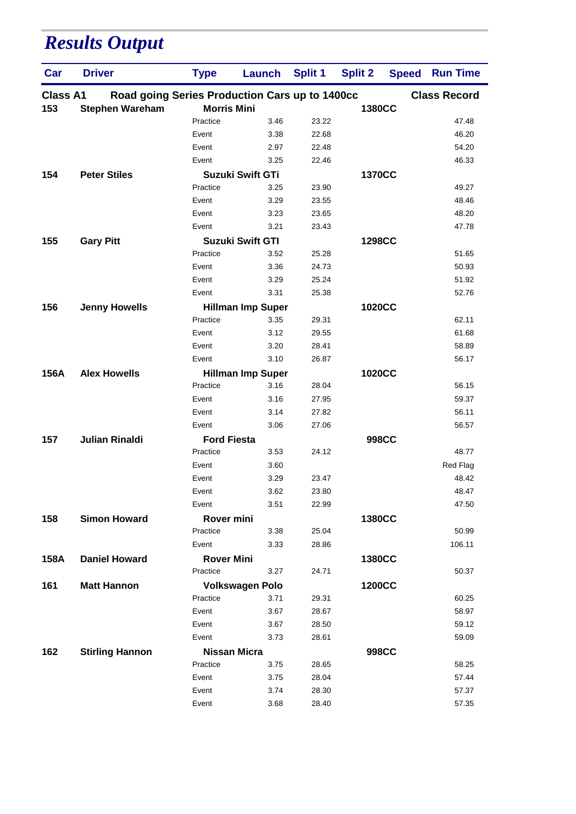## *Results Output*

| Car             | <b>Driver</b>          | <b>Type</b>                                    | Launch                   | <b>Split 1</b> | <b>Split 2</b> | <b>Speed</b> | <b>Run Time</b>     |
|-----------------|------------------------|------------------------------------------------|--------------------------|----------------|----------------|--------------|---------------------|
| <b>Class A1</b> |                        | Road going Series Production Cars up to 1400cc |                          |                |                |              | <b>Class Record</b> |
| 153             | <b>Stephen Wareham</b> | <b>Morris Mini</b>                             |                          |                | <b>1380CC</b>  |              |                     |
|                 |                        | Practice                                       | 3.46                     | 23.22          |                |              | 47.48               |
|                 |                        | Event                                          | 3.38                     | 22.68          |                |              | 46.20               |
|                 |                        | Event                                          | 2.97                     | 22.48          |                |              | 54.20               |
|                 |                        | Event                                          | 3.25                     | 22.46          |                |              | 46.33               |
| 154             | <b>Peter Stiles</b>    |                                                | Suzuki Swift GTi         |                | <b>1370CC</b>  |              |                     |
|                 |                        | Practice                                       | 3.25                     | 23.90          |                |              | 49.27               |
|                 |                        | Event                                          | 3.29                     | 23.55          |                |              | 48.46               |
|                 |                        | Event                                          | 3.23                     | 23.65          |                |              | 48.20               |
|                 |                        | Event                                          | 3.21                     | 23.43          |                |              | 47.78               |
| 155             | <b>Gary Pitt</b>       |                                                | <b>Suzuki Swift GTI</b>  |                | <b>1298CC</b>  |              |                     |
|                 |                        | Practice                                       | 3.52                     | 25.28          |                |              | 51.65               |
|                 |                        | Event                                          | 3.36                     | 24.73          |                |              | 50.93               |
|                 |                        | Event                                          | 3.29                     | 25.24          |                |              | 51.92               |
|                 |                        | Event                                          | 3.31                     | 25.38          |                |              | 52.76               |
| 156             | <b>Jenny Howells</b>   |                                                | <b>Hillman Imp Super</b> |                | 1020CC         |              |                     |
|                 |                        | Practice                                       | 3.35                     | 29.31          |                |              | 62.11               |
|                 |                        | Event                                          | 3.12                     | 29.55          |                |              | 61.68               |
|                 |                        | Event                                          | 3.20                     | 28.41          |                |              | 58.89               |
|                 |                        | Event                                          | 3.10                     | 26.87          |                |              | 56.17               |
| 156A            | <b>Alex Howells</b>    |                                                | <b>Hillman Imp Super</b> |                | <b>1020CC</b>  |              |                     |
|                 |                        | Practice                                       | 3.16                     | 28.04          |                |              | 56.15               |
|                 |                        | Event                                          | 3.16                     | 27.95          |                |              | 59.37               |
|                 |                        | Event                                          | 3.14                     | 27.82          |                |              | 56.11               |
|                 |                        | Event                                          | 3.06                     | 27.06          |                |              | 56.57               |
| 157             | <b>Julian Rinaldi</b>  | <b>Ford Fiesta</b>                             |                          |                |                | <b>998CC</b> |                     |
|                 |                        | Practice                                       | 3.53                     | 24.12          |                |              | 48.77               |
|                 |                        | Event                                          | 3.60                     |                |                |              | Red Flag            |
|                 |                        | Event                                          | 3.29                     | 23.47          |                |              | 48.42               |
|                 |                        | Event                                          | 3.62                     | 23.80          |                |              | 48.47               |
|                 |                        | Event                                          | 3.51                     | 22.99          |                |              | 47.50               |
| 158             | <b>Simon Howard</b>    | <b>Rover mini</b>                              |                          |                | <b>1380CC</b>  |              |                     |
|                 |                        | Practice                                       | 3.38                     | 25.04          |                |              | 50.99               |
|                 |                        | Event                                          | 3.33                     | 28.86          |                |              | 106.11              |
| 158A            | <b>Daniel Howard</b>   | <b>Rover Mini</b>                              |                          |                | <b>1380CC</b>  |              |                     |
|                 |                        | Practice                                       | 3.27                     | 24.71          |                |              | 50.37               |
| 161             | <b>Matt Hannon</b>     |                                                | <b>Volkswagen Polo</b>   |                | <b>1200CC</b>  |              |                     |
|                 |                        | Practice                                       | 3.71                     | 29.31          |                |              | 60.25               |
|                 |                        | Event                                          | 3.67                     | 28.67          |                |              | 58.97               |
|                 |                        | Event                                          | 3.67                     | 28.50          |                |              | 59.12               |
|                 |                        | Event                                          | 3.73                     | 28.61          |                |              | 59.09               |
| 162             | <b>Stirling Hannon</b> |                                                | <b>Nissan Micra</b>      |                |                | <b>998CC</b> |                     |
|                 |                        | Practice                                       | 3.75                     | 28.65          |                |              | 58.25               |
|                 |                        | Event                                          | 3.75                     | 28.04          |                |              | 57.44               |
|                 |                        | Event                                          | 3.74                     | 28.30          |                |              | 57.37               |
|                 |                        | Event                                          | 3.68                     | 28.40          |                |              | 57.35               |
|                 |                        |                                                |                          |                |                |              |                     |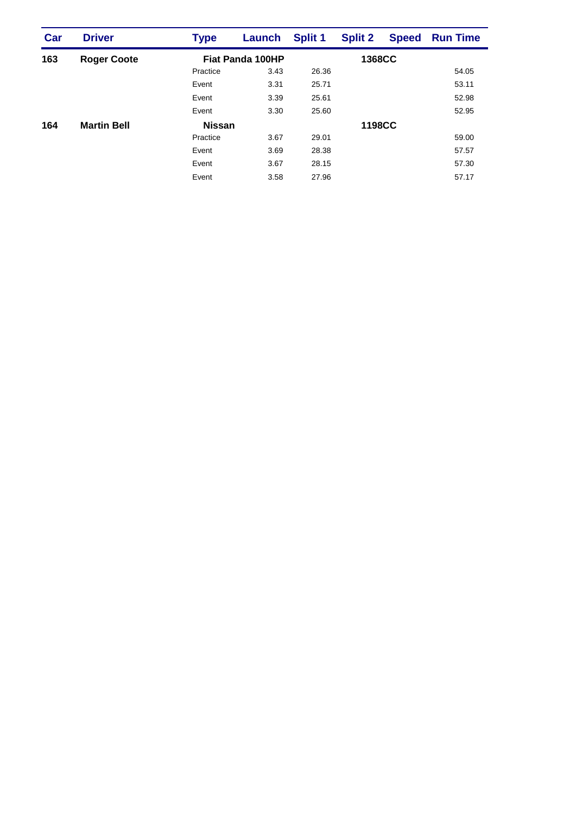| Car | <b>Driver</b>      | <b>Type</b>   | Launch                  | <b>Split 1</b> | <b>Split 2</b> | <b>Speed</b> | <b>Run Time</b> |
|-----|--------------------|---------------|-------------------------|----------------|----------------|--------------|-----------------|
| 163 | <b>Roger Coote</b> |               | <b>Fiat Panda 100HP</b> |                | <b>1368CC</b>  |              |                 |
|     |                    | Practice      | 3.43                    | 26.36          |                |              | 54.05           |
|     |                    | Event         | 3.31                    | 25.71          |                |              | 53.11           |
|     |                    | Event         | 3.39                    | 25.61          |                |              | 52.98           |
|     |                    | Event         | 3.30                    | 25.60          |                |              | 52.95           |
| 164 | <b>Martin Bell</b> | <b>Nissan</b> |                         |                | 1198CC         |              |                 |
|     |                    | Practice      | 3.67                    | 29.01          |                |              | 59.00           |
|     |                    | Event         | 3.69                    | 28.38          |                |              | 57.57           |
|     |                    | Event         | 3.67                    | 28.15          |                |              | 57.30           |
|     |                    | Event         | 3.58                    | 27.96          |                |              | 57.17           |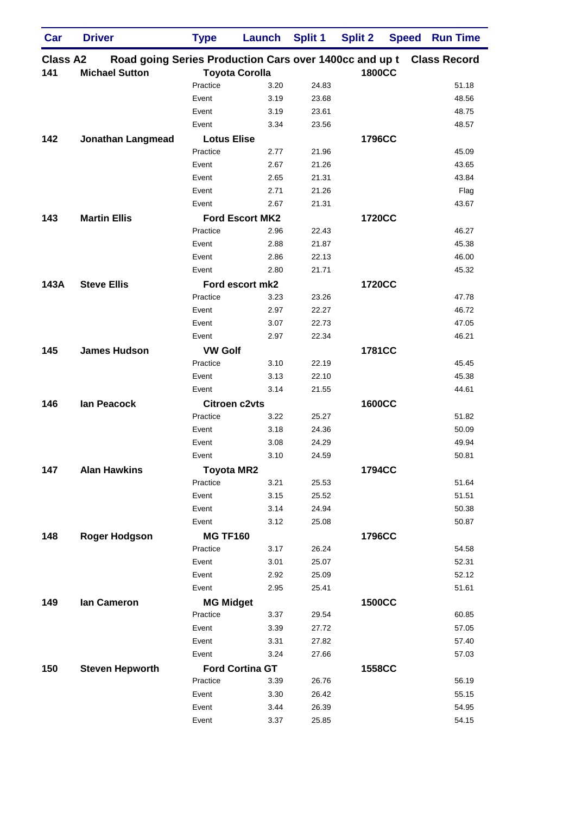| Car             | <b>Driver</b>                                          | <b>Type</b>        | Launch                 | <b>Split 1</b> | <b>Split 2</b> | <b>Speed</b> | <b>Run Time</b>     |
|-----------------|--------------------------------------------------------|--------------------|------------------------|----------------|----------------|--------------|---------------------|
| <b>Class A2</b> | Road going Series Production Cars over 1400cc and up t |                    |                        |                |                |              | <b>Class Record</b> |
| 141             | <b>Michael Sutton</b>                                  |                    | <b>Toyota Corolla</b>  |                | <b>1800CC</b>  |              |                     |
|                 |                                                        | Practice           | 3.20                   | 24.83          |                |              | 51.18               |
|                 |                                                        | Event              | 3.19                   | 23.68          |                |              | 48.56               |
|                 |                                                        | Event              | 3.19                   | 23.61          |                |              | 48.75               |
|                 |                                                        | Event              | 3.34                   | 23.56          |                |              | 48.57               |
| 142             | <b>Jonathan Langmead</b>                               | <b>Lotus Elise</b> |                        |                | 1796CC         |              |                     |
|                 |                                                        | Practice           | 2.77                   | 21.96          |                |              | 45.09               |
|                 |                                                        | Event              | 2.67                   | 21.26          |                |              | 43.65               |
|                 |                                                        | Event              | 2.65                   | 21.31          |                |              | 43.84               |
|                 |                                                        | Event              | 2.71                   | 21.26          |                |              | Flag                |
|                 |                                                        | Event              | 2.67                   | 21.31          |                |              | 43.67               |
| 143             | <b>Martin Ellis</b>                                    |                    | <b>Ford Escort MK2</b> |                | <b>1720CC</b>  |              |                     |
|                 |                                                        | Practice           | 2.96                   | 22.43          |                |              | 46.27               |
|                 |                                                        | Event              | 2.88                   | 21.87          |                |              | 45.38               |
|                 |                                                        | Event              | 2.86                   | 22.13          |                |              | 46.00               |
|                 |                                                        | Event              | 2.80                   | 21.71          |                |              | 45.32               |
| 143A            | <b>Steve Ellis</b>                                     |                    | Ford escort mk2        |                | <b>1720CC</b>  |              |                     |
|                 |                                                        | Practice           | 3.23                   | 23.26          |                |              | 47.78               |
|                 |                                                        | Event              | 2.97                   | 22.27          |                |              | 46.72               |
|                 |                                                        | Event              | 3.07                   | 22.73          |                |              | 47.05               |
|                 |                                                        | Event              | 2.97                   | 22.34          |                |              | 46.21               |
| 145             | <b>James Hudson</b>                                    | <b>VW Golf</b>     |                        |                | 1781CC         |              |                     |
|                 |                                                        | Practice           | 3.10                   | 22.19          |                |              | 45.45               |
|                 |                                                        | Event              | 3.13                   | 22.10          |                |              | 45.38               |
|                 |                                                        | Event              | 3.14                   | 21.55          |                |              | 44.61               |
| 146             | <b>Ian Peacock</b>                                     |                    | <b>Citroen c2vts</b>   |                | <b>1600CC</b>  |              |                     |
|                 |                                                        | Practice           | 3.22                   | 25.27          |                |              | 51.82               |
|                 |                                                        | Event              | 3.18                   | 24.36          |                |              | 50.09               |
|                 |                                                        | Event              | 3.08                   | 24.29          |                |              | 49.94               |
|                 |                                                        | Event              | 3.10                   | 24.59          |                |              | 50.81               |
| 147             | <b>Alan Hawkins</b>                                    | <b>Toyota MR2</b>  |                        |                | 1794CC         |              |                     |
|                 |                                                        | Practice           | 3.21                   | 25.53          |                |              | 51.64               |
|                 |                                                        | Event              | 3.15                   | 25.52          |                |              | 51.51               |
|                 |                                                        | Event              | 3.14                   | 24.94          |                |              | 50.38               |
|                 |                                                        | Event              | 3.12                   | 25.08          |                |              | 50.87               |
| 148             | <b>Roger Hodgson</b>                                   | <b>MG TF160</b>    |                        |                | 1796CC         |              |                     |
|                 |                                                        | Practice           | 3.17                   | 26.24          |                |              | 54.58               |
|                 |                                                        | Event              | 3.01                   | 25.07          |                |              | 52.31               |
|                 |                                                        | Event              | 2.92                   | 25.09          |                |              | 52.12               |
|                 |                                                        | Event              | 2.95                   | 25.41          |                |              | 51.61               |
| 149             | lan Cameron                                            | <b>MG Midget</b>   |                        |                | <b>1500CC</b>  |              |                     |
|                 |                                                        | Practice           | 3.37                   | 29.54          |                |              | 60.85               |
|                 |                                                        | Event              | 3.39                   | 27.72          |                |              | 57.05               |
|                 |                                                        | Event              | 3.31                   | 27.82          |                |              | 57.40               |
|                 |                                                        | Event              | 3.24                   | 27.66          |                |              | 57.03               |
| 150             | <b>Steven Hepworth</b>                                 |                    | <b>Ford Cortina GT</b> |                | 1558CC         |              |                     |
|                 |                                                        | Practice           | 3.39                   | 26.76          |                |              | 56.19               |
|                 |                                                        | Event              | 3.30                   | 26.42          |                |              | 55.15               |
|                 |                                                        | Event              | 3.44                   | 26.39          |                |              | 54.95               |
|                 |                                                        | Event              | 3.37                   | 25.85          |                |              | 54.15               |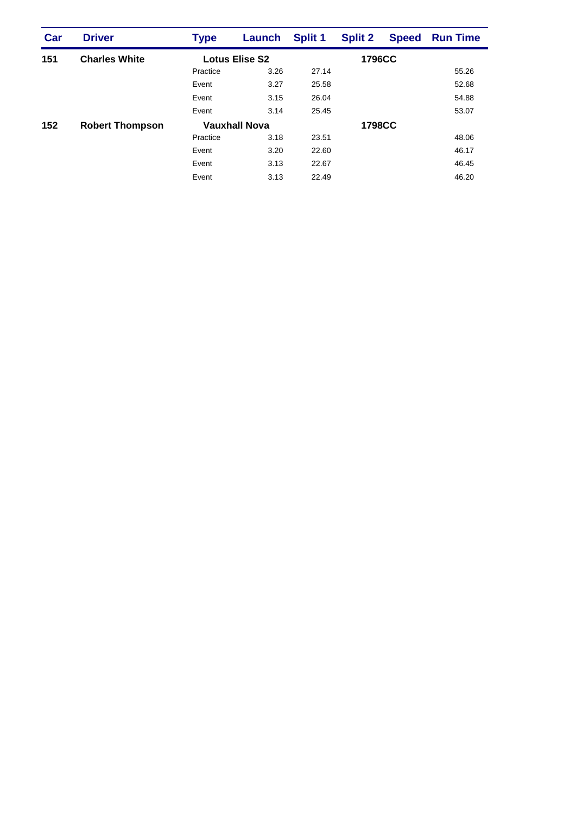| Car | <b>Driver</b>          | Type     | Launch                | <b>Split 1</b> | <b>Split 2</b> | <b>Speed</b> | <b>Run Time</b> |
|-----|------------------------|----------|-----------------------|----------------|----------------|--------------|-----------------|
| 151 | <b>Charles White</b>   |          | <b>Lotus Elise S2</b> |                | 1796CC         |              |                 |
|     |                        | Practice | 3.26                  | 27.14          |                |              | 55.26           |
|     |                        | Event    | 3.27                  | 25.58          |                |              | 52.68           |
|     |                        | Event    | 3.15                  | 26.04          |                |              | 54.88           |
|     |                        | Event    | 3.14                  | 25.45          |                |              | 53.07           |
| 152 | <b>Robert Thompson</b> |          | <b>Vauxhall Nova</b>  |                | 1798CC         |              |                 |
|     |                        | Practice | 3.18                  | 23.51          |                |              | 48.06           |
|     |                        | Event    | 3.20                  | 22.60          |                |              | 46.17           |
|     |                        | Event    | 3.13                  | 22.67          |                |              | 46.45           |
|     |                        | Event    | 3.13                  | 22.49          |                |              | 46.20           |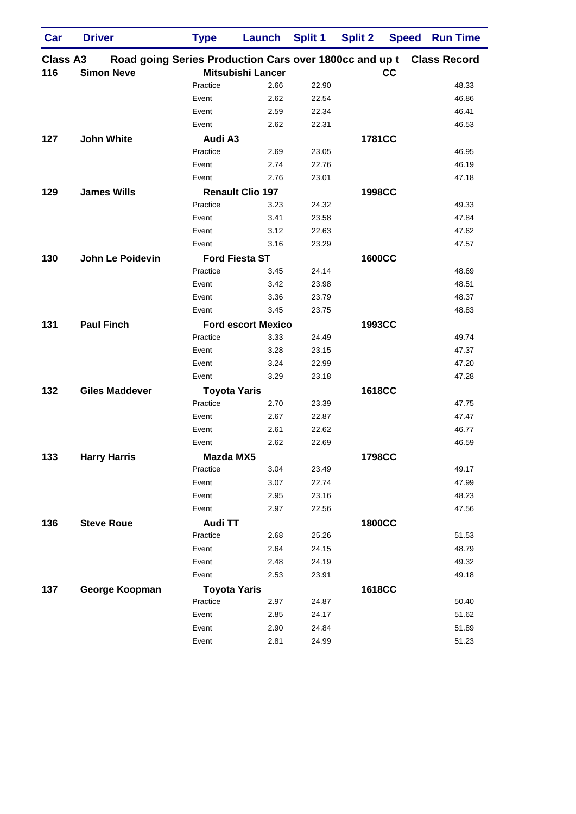| Car             | <b>Driver</b>                                          | <b>Type</b>    | Launch                    | <b>Split 1</b> | <b>Split 2</b> | <b>Speed</b> | <b>Run Time</b>     |
|-----------------|--------------------------------------------------------|----------------|---------------------------|----------------|----------------|--------------|---------------------|
| <b>Class A3</b> | Road going Series Production Cars over 1800cc and up t |                |                           |                |                |              | <b>Class Record</b> |
| 116             | <b>Simon Neve</b>                                      |                | <b>Mitsubishi Lancer</b>  |                |                | cc           |                     |
|                 |                                                        | Practice       | 2.66                      | 22.90          |                |              | 48.33               |
|                 |                                                        | Event          | 2.62                      | 22.54          |                |              | 46.86               |
|                 |                                                        | Event          | 2.59                      | 22.34          |                |              | 46.41               |
|                 |                                                        | Event          | 2.62                      | 22.31          |                |              | 46.53               |
| 127             | <b>John White</b>                                      | Audi A3        |                           |                | 1781CC         |              |                     |
|                 |                                                        | Practice       | 2.69                      | 23.05          |                |              | 46.95               |
|                 |                                                        | Event          | 2.74                      | 22.76          |                |              | 46.19               |
|                 |                                                        | Event          | 2.76                      | 23.01          |                |              | 47.18               |
| 129             | <b>James Wills</b>                                     |                | <b>Renault Clio 197</b>   |                | <b>1998CC</b>  |              |                     |
|                 |                                                        | Practice       | 3.23                      | 24.32          |                |              | 49.33               |
|                 |                                                        | Event          | 3.41                      | 23.58          |                |              | 47.84               |
|                 |                                                        | Event          | 3.12                      | 22.63          |                |              | 47.62               |
|                 |                                                        | Event          | 3.16                      | 23.29          |                |              | 47.57               |
| 130             | <b>John Le Poidevin</b>                                |                | <b>Ford Fiesta ST</b>     |                | <b>1600CC</b>  |              |                     |
|                 |                                                        | Practice       | 3.45                      | 24.14          |                |              | 48.69               |
|                 |                                                        | Event          | 3.42                      | 23.98          |                |              | 48.51               |
|                 |                                                        | Event          | 3.36                      | 23.79          |                |              | 48.37               |
|                 |                                                        | Event          | 3.45                      | 23.75          |                |              | 48.83               |
| 131             | <b>Paul Finch</b>                                      |                | <b>Ford escort Mexico</b> |                | 1993CC         |              |                     |
|                 |                                                        | Practice       | 3.33                      | 24.49          |                |              | 49.74               |
|                 |                                                        | Event          | 3.28                      | 23.15          |                |              | 47.37               |
|                 |                                                        | Event          | 3.24                      | 22.99          |                |              | 47.20               |
|                 |                                                        | Event          | 3.29                      | 23.18          |                |              | 47.28               |
| 132             | <b>Giles Maddever</b>                                  |                | <b>Toyota Yaris</b>       |                | <b>1618CC</b>  |              |                     |
|                 |                                                        | Practice       | 2.70                      | 23.39          |                |              | 47.75               |
|                 |                                                        | Event          | 2.67                      | 22.87          |                |              | 47.47               |
|                 |                                                        | Event          | 2.61                      | 22.62          |                |              | 46.77               |
|                 |                                                        | Event          | 2.62                      | 22.69          |                |              | 46.59               |
| 133             | <b>Harry Harris</b>                                    | Mazda MX5      |                           |                | <b>1798CC</b>  |              |                     |
|                 |                                                        | Practice       | 3.04                      | 23.49          |                |              | 49.17               |
|                 |                                                        | Event          | 3.07                      | 22.74          |                |              | 47.99               |
|                 |                                                        | Event          | 2.95                      | 23.16          |                |              | 48.23               |
|                 |                                                        | Event          | 2.97                      | 22.56          |                |              | 47.56               |
| 136             | <b>Steve Roue</b>                                      | <b>Audi TT</b> |                           |                | <b>1800CC</b>  |              |                     |
|                 |                                                        | Practice       | 2.68                      | 25.26          |                |              | 51.53               |
|                 |                                                        | Event          | 2.64                      | 24.15          |                |              | 48.79               |
|                 |                                                        | Event          | 2.48                      | 24.19          |                |              | 49.32               |
|                 |                                                        | Event          | 2.53                      | 23.91          |                |              | 49.18               |
| 137             | George Koopman                                         |                | <b>Toyota Yaris</b>       |                | <b>1618CC</b>  |              |                     |
|                 |                                                        | Practice       | 2.97                      | 24.87          |                |              | 50.40               |
|                 |                                                        | Event          | 2.85                      | 24.17          |                |              | 51.62               |
|                 |                                                        | Event          | 2.90                      | 24.84          |                |              | 51.89               |
|                 |                                                        | Event          | 2.81                      | 24.99          |                |              | 51.23               |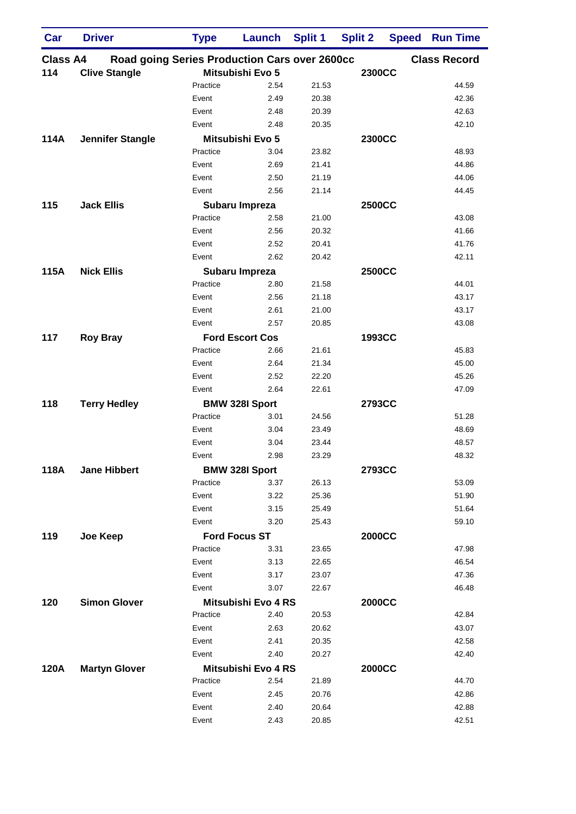| Car             | <b>Driver</b>                                 | <b>Type</b> | Launch                     | <b>Split 1</b> | <b>Split 2</b> | <b>Speed</b> | <b>Run Time</b>     |
|-----------------|-----------------------------------------------|-------------|----------------------------|----------------|----------------|--------------|---------------------|
| <b>Class A4</b> | Road going Series Production Cars over 2600cc |             |                            |                |                |              | <b>Class Record</b> |
| 114             | <b>Clive Stangle</b>                          |             | Mitsubishi Evo 5           |                | <b>2300CC</b>  |              |                     |
|                 |                                               | Practice    | 2.54                       | 21.53          |                |              | 44.59               |
|                 |                                               | Event       | 2.49                       | 20.38          |                |              | 42.36               |
|                 |                                               | Event       | 2.48                       | 20.39          |                |              | 42.63               |
|                 |                                               | Event       | 2.48                       | 20.35          |                |              | 42.10               |
| 114A            | <b>Jennifer Stangle</b>                       |             | Mitsubishi Evo 5           |                | <b>2300CC</b>  |              |                     |
|                 |                                               | Practice    | 3.04                       | 23.82          |                |              | 48.93               |
|                 |                                               | Event       | 2.69                       | 21.41          |                |              | 44.86               |
|                 |                                               | Event       | 2.50                       | 21.19          |                |              | 44.06               |
|                 |                                               | Event       | 2.56                       | 21.14          |                |              | 44.45               |
| 115             | <b>Jack Ellis</b>                             |             | Subaru Impreza             |                | <b>2500CC</b>  |              |                     |
|                 |                                               | Practice    | 2.58                       | 21.00          |                |              | 43.08               |
|                 |                                               | Event       | 2.56                       | 20.32          |                |              | 41.66               |
|                 |                                               | Event       | 2.52                       | 20.41          |                |              | 41.76               |
|                 |                                               | Event       | 2.62                       | 20.42          |                |              | 42.11               |
| 115A            | <b>Nick Ellis</b>                             |             | Subaru Impreza             |                | <b>2500CC</b>  |              |                     |
|                 |                                               | Practice    | 2.80                       | 21.58          |                |              | 44.01               |
|                 |                                               | Event       | 2.56                       | 21.18          |                |              | 43.17               |
|                 |                                               | Event       | 2.61                       | 21.00          |                |              | 43.17               |
|                 |                                               | Event       | 2.57                       | 20.85          |                |              | 43.08               |
| 117             | <b>Roy Bray</b>                               |             | <b>Ford Escort Cos</b>     |                | 1993CC         |              |                     |
|                 |                                               | Practice    | 2.66                       | 21.61          |                |              | 45.83               |
|                 |                                               | Event       | 2.64                       | 21.34          |                |              | 45.00               |
|                 |                                               | Event       | 2.52                       | 22.20          |                |              | 45.26               |
|                 |                                               | Event       | 2.64                       | 22.61          |                |              | 47.09               |
| 118             | <b>Terry Hedley</b>                           |             | <b>BMW 328I Sport</b>      |                | <b>2793CC</b>  |              |                     |
|                 |                                               | Practice    | 3.01                       | 24.56          |                |              | 51.28               |
|                 |                                               | Event       | 3.04                       | 23.49          |                |              | 48.69               |
|                 |                                               | Event       | 3.04                       | 23.44          |                |              | 48.57               |
|                 |                                               | Event       | 2.98                       | 23.29          |                |              | 48.32               |
| 118A            | <b>Jane Hibbert</b>                           |             | <b>BMW 328I Sport</b>      |                | 2793CC         |              |                     |
|                 |                                               | Practice    | 3.37                       | 26.13          |                |              | 53.09               |
|                 |                                               | Event       | 3.22                       | 25.36          |                |              | 51.90               |
|                 |                                               | Event       | 3.15                       | 25.49          |                |              | 51.64               |
|                 |                                               | Event       | 3.20                       | 25.43          |                |              | 59.10               |
| 119             | Joe Keep                                      |             | <b>Ford Focus ST</b>       |                | <b>2000CC</b>  |              |                     |
|                 |                                               | Practice    | 3.31                       | 23.65          |                |              | 47.98               |
|                 |                                               | Event       | 3.13                       | 22.65          |                |              | 46.54               |
|                 |                                               | Event       | 3.17                       | 23.07          |                |              | 47.36               |
|                 |                                               | Event       | 3.07                       | 22.67          |                |              | 46.48               |
| 120             | <b>Simon Glover</b>                           |             | <b>Mitsubishi Evo 4 RS</b> |                | <b>2000CC</b>  |              |                     |
|                 |                                               | Practice    | 2.40                       | 20.53          |                |              | 42.84               |
|                 |                                               | Event       | 2.63                       | 20.62          |                |              | 43.07               |
|                 |                                               | Event       | 2.41                       | 20.35          |                |              | 42.58               |
|                 |                                               | Event       | 2.40                       | 20.27          |                |              | 42.40               |
| 120A            | <b>Martyn Glover</b>                          |             | <b>Mitsubishi Evo 4 RS</b> |                | <b>2000CC</b>  |              |                     |
|                 |                                               | Practice    | 2.54                       | 21.89          |                |              | 44.70               |
|                 |                                               | Event       | 2.45                       | 20.76          |                |              | 42.86               |
|                 |                                               | Event       | 2.40                       | 20.64          |                |              | 42.88               |
|                 |                                               | Event       | 2.43                       | 20.85          |                |              | 42.51               |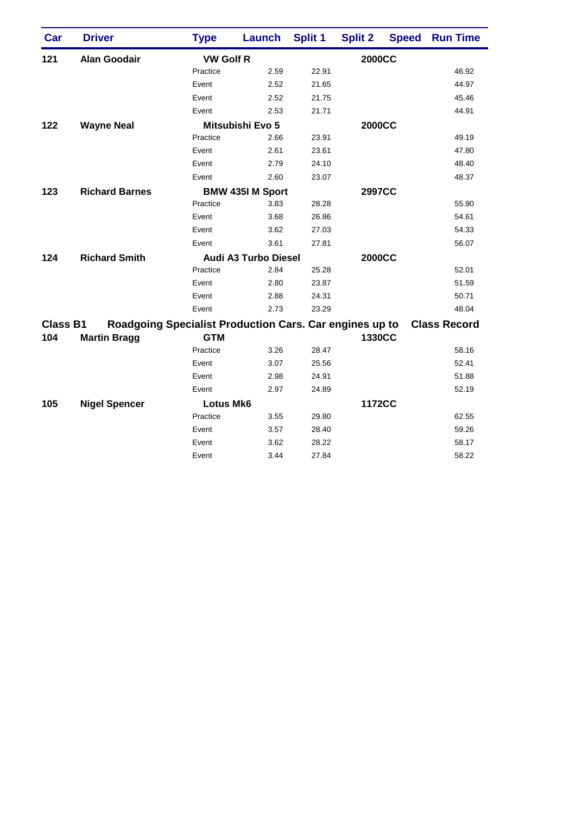| Car             | <b>Driver</b>         | <b>Type</b>                                             | Launch                      | <b>Split 1</b> | <b>Split 2</b> | <b>Speed Run Time</b> |
|-----------------|-----------------------|---------------------------------------------------------|-----------------------------|----------------|----------------|-----------------------|
| 121             | <b>Alan Goodair</b>   | <b>VW Golf R</b>                                        |                             |                | <b>2000CC</b>  |                       |
|                 |                       | Practice                                                | 2.59                        | 22.91          |                | 46.92                 |
|                 |                       | Event                                                   | 2.52                        | 21.65          |                | 44.97                 |
|                 |                       | Event                                                   | 2.52                        | 21.75          |                | 45.46                 |
|                 |                       | Event                                                   | 2.53                        | 21.71          |                | 44.91                 |
| 122             | <b>Wayne Neal</b>     | Mitsubishi Evo 5                                        |                             |                | <b>2000CC</b>  |                       |
|                 |                       | Practice                                                | 2.66                        | 23.91          |                | 49.19                 |
|                 |                       | Event                                                   | 2.61                        | 23.61          |                | 47.80                 |
|                 |                       | Event                                                   | 2.79                        | 24.10          |                | 48.40                 |
|                 |                       | Event                                                   | 2.60                        | 23.07          |                | 48.37                 |
| 123             | <b>Richard Barnes</b> |                                                         | <b>BMW 435I M Sport</b>     |                | <b>2997CC</b>  |                       |
|                 |                       | Practice                                                | 3.83                        | 28.28          |                | 55.90                 |
|                 |                       | Event                                                   | 3.68                        | 26.86          |                | 54.61                 |
|                 |                       | Event                                                   | 3.62                        | 27.03          |                | 54.33                 |
|                 |                       | Event                                                   | 3.61                        | 27.81          |                | 56.07                 |
| 124             | <b>Richard Smith</b>  |                                                         | <b>Audi A3 Turbo Diesel</b> |                | <b>2000CC</b>  |                       |
|                 |                       | Practice                                                | 2.84                        | 25.28          |                | 52.01                 |
|                 |                       | Event                                                   | 2.80                        | 23.87          |                | 51.59                 |
|                 |                       | Event                                                   | 2.88                        | 24.31          |                | 50.71                 |
|                 |                       | Event                                                   | 2.73                        | 23.29          |                | 48.04                 |
| <b>Class B1</b> |                       | Roadgoing Specialist Production Cars. Car engines up to |                             |                |                | <b>Class Record</b>   |
| 104             | <b>Martin Bragg</b>   | <b>GTM</b>                                              |                             |                | <b>1330CC</b>  |                       |
|                 |                       | Practice                                                | 3.26                        | 28.47          |                | 58.16                 |
|                 |                       | Event                                                   | 3.07                        | 25.56          |                | 52.41                 |
|                 |                       | Event                                                   | 2.98                        | 24.91          |                | 51.88                 |
|                 |                       | Event                                                   | 2.97                        | 24.89          |                | 52.19                 |
| 105             | <b>Nigel Spencer</b>  | <b>Lotus Mk6</b>                                        |                             |                | <b>1172CC</b>  |                       |
|                 |                       | Practice                                                | 3.55                        | 29.80          |                | 62.55                 |
|                 |                       | Event                                                   | 3.57                        | 28.40          |                | 59.26                 |
|                 |                       | Event                                                   | 3.62                        | 28.22          |                | 58.17                 |
|                 |                       | Event                                                   | 3.44                        | 27.84          |                | 58.22                 |
|                 |                       |                                                         |                             |                |                |                       |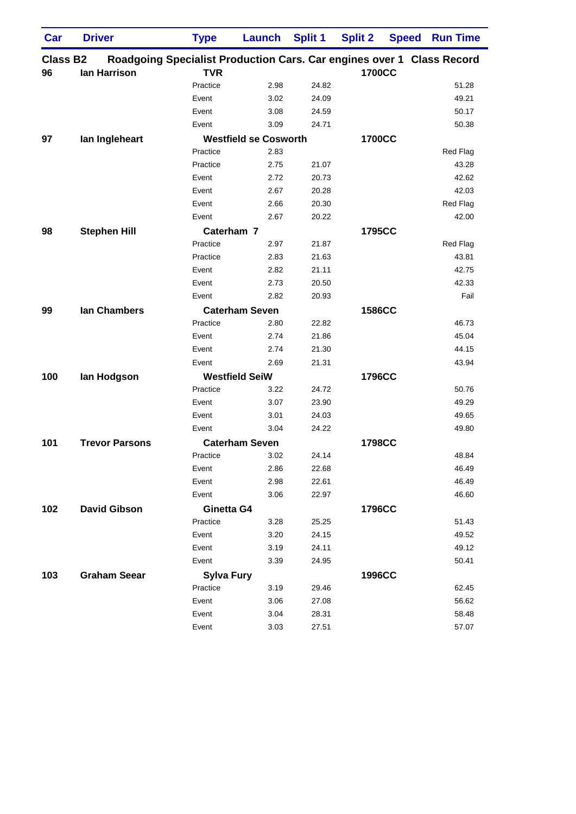| Car                   | <b>Driver</b>                                                                         | <b>Type</b>       | Launch                       | <b>Split 1</b> | <b>Split 2</b> | <b>Speed</b> | <b>Run Time</b> |
|-----------------------|---------------------------------------------------------------------------------------|-------------------|------------------------------|----------------|----------------|--------------|-----------------|
| <b>Class B2</b><br>96 | Roadgoing Specialist Production Cars. Car engines over 1 Class Record<br>Ian Harrison | <b>TVR</b>        |                              |                | <b>1700CC</b>  |              |                 |
|                       |                                                                                       | Practice          | 2.98                         | 24.82          |                |              | 51.28           |
|                       |                                                                                       | Event             | 3.02                         | 24.09          |                |              | 49.21           |
|                       |                                                                                       | Event             | 3.08                         | 24.59          |                |              | 50.17           |
|                       |                                                                                       | Event             | 3.09                         | 24.71          |                |              | 50.38           |
| 97                    | lan Ingleheart                                                                        |                   | <b>Westfield se Cosworth</b> |                | <b>1700CC</b>  |              |                 |
|                       |                                                                                       | Practice          | 2.83                         |                |                |              | Red Flag        |
|                       |                                                                                       | Practice          | 2.75                         | 21.07          |                |              | 43.28           |
|                       |                                                                                       | Event             | 2.72                         | 20.73          |                |              | 42.62           |
|                       |                                                                                       | Event             | 2.67                         | 20.28          |                |              | 42.03           |
|                       |                                                                                       | Event             | 2.66                         | 20.30          |                |              | Red Flag        |
|                       |                                                                                       | Event             | 2.67                         | 20.22          |                |              | 42.00           |
| 98                    | <b>Stephen Hill</b>                                                                   | Caterham 7        |                              |                | 1795CC         |              |                 |
|                       |                                                                                       | Practice          | 2.97                         | 21.87          |                |              | Red Flag        |
|                       |                                                                                       | Practice          | 2.83                         | 21.63          |                |              | 43.81           |
|                       |                                                                                       | Event             | 2.82                         | 21.11          |                |              | 42.75           |
|                       |                                                                                       | Event             | 2.73                         | 20.50          |                |              | 42.33           |
|                       |                                                                                       | Event             | 2.82                         | 20.93          |                |              | Fail            |
| 99                    | <b>Ian Chambers</b>                                                                   |                   | <b>Caterham Seven</b>        |                | 1586CC         |              |                 |
|                       |                                                                                       | Practice          | 2.80                         | 22.82          |                |              | 46.73           |
|                       |                                                                                       | Event             | 2.74                         | 21.86          |                |              | 45.04           |
|                       |                                                                                       | Event             | 2.74                         | 21.30          |                |              | 44.15           |
|                       |                                                                                       | Event             | 2.69                         | 21.31          |                |              | 43.94           |
| 100                   | lan Hodgson                                                                           |                   | <b>Westfield SeiW</b>        |                | 1796CC         |              |                 |
|                       |                                                                                       | Practice          | 3.22                         | 24.72          |                |              | 50.76           |
|                       |                                                                                       | Event             | 3.07                         | 23.90          |                |              | 49.29           |
|                       |                                                                                       | Event             | 3.01                         | 24.03          |                |              | 49.65           |
|                       |                                                                                       | Event             | 3.04                         | 24.22          |                |              | 49.80           |
| 101                   | <b>Trevor Parsons</b>                                                                 |                   | <b>Caterham Seven</b>        |                | <b>1798CC</b>  |              |                 |
|                       |                                                                                       | Practice          | 3.02                         | 24.14          |                |              | 48.84           |
|                       |                                                                                       | Event             | 2.86                         | 22.68          |                |              | 46.49           |
|                       |                                                                                       | Event             | 2.98                         | 22.61          |                |              | 46.49           |
|                       |                                                                                       | Event             | 3.06                         | 22.97          |                |              | 46.60           |
| 102                   | <b>David Gibson</b>                                                                   | Ginetta G4        |                              |                | 1796CC         |              |                 |
|                       |                                                                                       | Practice          | 3.28                         | 25.25          |                |              | 51.43           |
|                       |                                                                                       | Event             | 3.20                         | 24.15          |                |              | 49.52           |
|                       |                                                                                       | Event             | 3.19                         | 24.11          |                |              | 49.12           |
|                       |                                                                                       | Event             | 3.39                         | 24.95          |                |              | 50.41           |
| 103                   | <b>Graham Seear</b>                                                                   | <b>Sylva Fury</b> |                              |                | 1996CC         |              |                 |
|                       |                                                                                       | Practice          | 3.19                         | 29.46          |                |              | 62.45           |
|                       |                                                                                       | Event             | 3.06                         | 27.08          |                |              | 56.62           |
|                       |                                                                                       | Event             | 3.04                         | 28.31          |                |              | 58.48           |
|                       |                                                                                       | Event             | 3.03                         | 27.51          |                |              | 57.07           |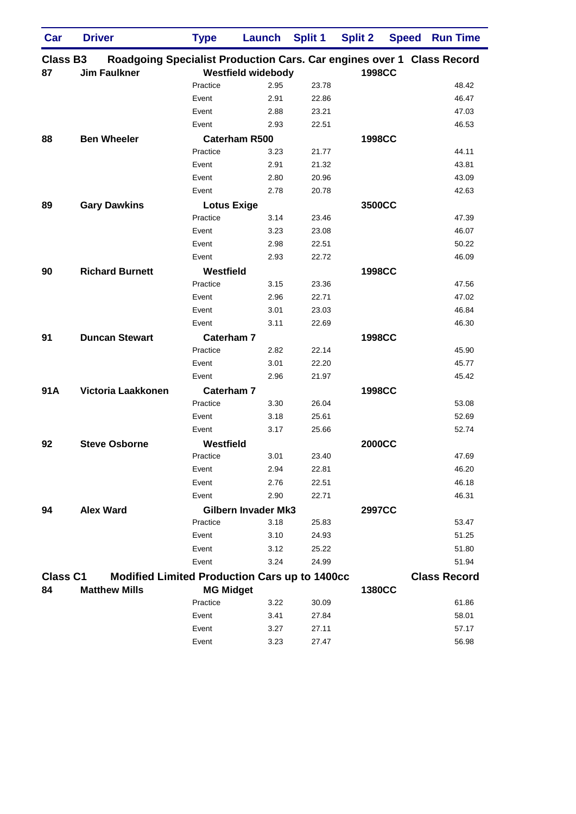| Car             | <b>Driver</b>                                                         | <b>Type</b>        | Launch                     | <b>Split 1</b> | <b>Split 2</b> | <b>Speed</b> | <b>Run Time</b>     |
|-----------------|-----------------------------------------------------------------------|--------------------|----------------------------|----------------|----------------|--------------|---------------------|
| <b>Class B3</b> | Roadgoing Specialist Production Cars. Car engines over 1 Class Record |                    |                            |                |                |              |                     |
| 87              | <b>Jim Faulkner</b>                                                   |                    | <b>Westfield widebody</b>  |                | 1998CC         |              |                     |
|                 |                                                                       | Practice           | 2.95                       | 23.78          |                |              | 48.42               |
|                 |                                                                       | Event              | 2.91                       | 22.86          |                |              | 46.47               |
|                 |                                                                       | Event              | 2.88                       | 23.21          |                |              | 47.03               |
|                 |                                                                       | Event              | 2.93                       | 22.51          |                |              | 46.53               |
| 88              | <b>Ben Wheeler</b>                                                    |                    | <b>Caterham R500</b>       |                | <b>1998CC</b>  |              |                     |
|                 |                                                                       | Practice           | 3.23                       | 21.77          |                |              | 44.11               |
|                 |                                                                       | Event              | 2.91                       | 21.32          |                |              | 43.81               |
|                 |                                                                       | Event              | 2.80                       | 20.96          |                |              | 43.09               |
|                 |                                                                       | Event              | 2.78                       | 20.78          |                |              | 42.63               |
| 89              | <b>Gary Dawkins</b>                                                   | <b>Lotus Exige</b> |                            |                | 3500CC         |              |                     |
|                 |                                                                       | Practice           | 3.14                       | 23.46          |                |              | 47.39               |
|                 |                                                                       | Event              | 3.23                       | 23.08          |                |              | 46.07               |
|                 |                                                                       | Event              | 2.98                       | 22.51          |                |              | 50.22               |
|                 |                                                                       | Event              | 2.93                       | 22.72          |                |              | 46.09               |
| 90              | <b>Richard Burnett</b>                                                | Westfield          |                            |                | <b>1998CC</b>  |              |                     |
|                 |                                                                       | Practice           | 3.15                       | 23.36          |                |              | 47.56               |
|                 |                                                                       | Event              | 2.96                       | 22.71          |                |              | 47.02               |
|                 |                                                                       | Event              | 3.01                       | 23.03          |                |              | 46.84               |
|                 |                                                                       | Event              | 3.11                       | 22.69          |                |              | 46.30               |
| 91              | <b>Duncan Stewart</b>                                                 | <b>Caterham 7</b>  |                            |                | <b>1998CC</b>  |              |                     |
|                 |                                                                       | Practice           | 2.82                       | 22.14          |                |              | 45.90               |
|                 |                                                                       | Event              | 3.01                       | 22.20          |                |              | 45.77               |
|                 |                                                                       | Event              | 2.96                       | 21.97          |                |              | 45.42               |
| 91A             | Victoria Laakkonen                                                    | <b>Caterham 7</b>  |                            |                | <b>1998CC</b>  |              |                     |
|                 |                                                                       | Practice           | 3.30                       | 26.04          |                |              | 53.08               |
|                 |                                                                       | Event              | 3.18                       | 25.61          |                |              | 52.69               |
|                 |                                                                       | Event              | 3.17                       | 25.66          |                |              | 52.74               |
| 92              | <b>Steve Osborne</b>                                                  | Westfield          |                            |                | <b>2000CC</b>  |              |                     |
|                 |                                                                       | Practice           | 3.01                       | 23.40          |                |              | 47.69               |
|                 |                                                                       | Event              | 2.94                       | 22.81          |                |              | 46.20               |
|                 |                                                                       | Event              | 2.76                       | 22.51          |                |              | 46.18               |
|                 |                                                                       | Event              | 2.90                       | 22.71          |                |              | 46.31               |
|                 |                                                                       |                    |                            |                |                |              |                     |
| 94              | <b>Alex Ward</b>                                                      | Practice           | <b>Gilbern Invader Mk3</b> |                | <b>2997CC</b>  |              |                     |
|                 |                                                                       |                    | 3.18                       | 25.83          |                |              | 53.47               |
|                 |                                                                       | Event              | 3.10                       | 24.93          |                |              | 51.25               |
|                 |                                                                       | Event              | 3.12                       | 25.22          |                |              | 51.80               |
|                 |                                                                       | Event              | 3.24                       | 24.99          |                |              | 51.94               |
| <b>Class C1</b> | <b>Modified Limited Production Cars up to 1400cc</b>                  |                    |                            |                |                |              | <b>Class Record</b> |
| 84              | <b>Matthew Mills</b>                                                  | <b>MG Midget</b>   |                            |                | <b>1380CC</b>  |              |                     |
|                 |                                                                       | Practice           | 3.22                       | 30.09          |                |              | 61.86               |
|                 |                                                                       | Event              | 3.41                       | 27.84          |                |              | 58.01               |
|                 |                                                                       | Event              | 3.27                       | 27.11          |                |              | 57.17               |
|                 |                                                                       | Event              | 3.23                       | 27.47          |                |              | 56.98               |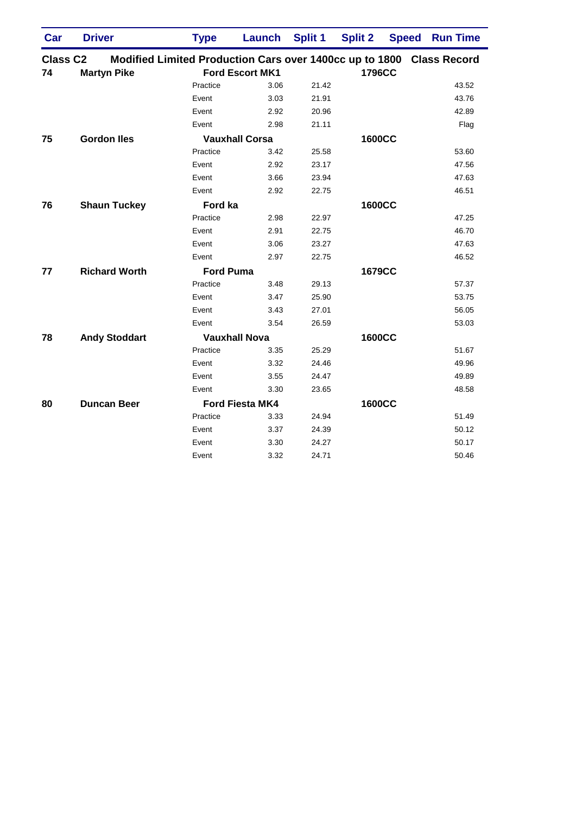| Car             | <b>Driver</b>        | <b>Type</b>                                                          | Launch                 | <b>Split 1</b> | <b>Split 2</b> | <b>Speed</b> | <b>Run Time</b> |
|-----------------|----------------------|----------------------------------------------------------------------|------------------------|----------------|----------------|--------------|-----------------|
| <b>Class C2</b> |                      | Modified Limited Production Cars over 1400cc up to 1800 Class Record |                        |                |                |              |                 |
| 74              | <b>Martyn Pike</b>   |                                                                      | <b>Ford Escort MK1</b> |                | <b>1796CC</b>  |              |                 |
|                 |                      | Practice                                                             | 3.06                   | 21.42          |                |              | 43.52           |
|                 |                      | Event                                                                | 3.03                   | 21.91          |                |              | 43.76           |
|                 |                      | Event                                                                | 2.92                   | 20.96          |                |              | 42.89           |
|                 |                      | Event                                                                | 2.98                   | 21.11          |                |              | Flag            |
| 75              | <b>Gordon lles</b>   |                                                                      | <b>Vauxhall Corsa</b>  |                | <b>1600CC</b>  |              |                 |
|                 |                      | Practice                                                             | 3.42                   | 25.58          |                |              | 53.60           |
|                 |                      | Event                                                                | 2.92                   | 23.17          |                |              | 47.56           |
|                 |                      | Event                                                                | 3.66                   | 23.94          |                |              | 47.63           |
|                 |                      | Event                                                                | 2.92                   | 22.75          |                |              | 46.51           |
| 76              | <b>Shaun Tuckey</b>  | Ford ka                                                              |                        |                | <b>1600CC</b>  |              |                 |
|                 |                      | Practice                                                             | 2.98                   | 22.97          |                |              | 47.25           |
|                 |                      | Event                                                                | 2.91                   | 22.75          |                |              | 46.70           |
|                 |                      | Event                                                                | 3.06                   | 23.27          |                |              | 47.63           |
|                 |                      | Event                                                                | 2.97                   | 22.75          |                |              | 46.52           |
| 77              | <b>Richard Worth</b> | <b>Ford Puma</b>                                                     |                        |                | 1679CC         |              |                 |
|                 |                      | Practice                                                             | 3.48                   | 29.13          |                |              | 57.37           |
|                 |                      | Event                                                                | 3.47                   | 25.90          |                |              | 53.75           |
|                 |                      | Event                                                                | 3.43                   | 27.01          |                |              | 56.05           |
|                 |                      | Event                                                                | 3.54                   | 26.59          |                |              | 53.03           |
| 78              | <b>Andy Stoddart</b> |                                                                      | <b>Vauxhall Nova</b>   |                | <b>1600CC</b>  |              |                 |
|                 |                      | Practice                                                             | 3.35                   | 25.29          |                |              | 51.67           |
|                 |                      | Event                                                                | 3.32                   | 24.46          |                |              | 49.96           |
|                 |                      | Event                                                                | 3.55                   | 24.47          |                |              | 49.89           |
|                 |                      | Event                                                                | 3.30                   | 23.65          |                |              | 48.58           |
| 80              | <b>Duncan Beer</b>   |                                                                      | <b>Ford Fiesta MK4</b> |                | <b>1600CC</b>  |              |                 |
|                 |                      | Practice                                                             | 3.33                   | 24.94          |                |              | 51.49           |
|                 |                      | Event                                                                | 3.37                   | 24.39          |                |              | 50.12           |
|                 |                      | Event                                                                | 3.30                   | 24.27          |                |              | 50.17           |
|                 |                      | Event                                                                | 3.32                   | 24.71          |                |              | 50.46           |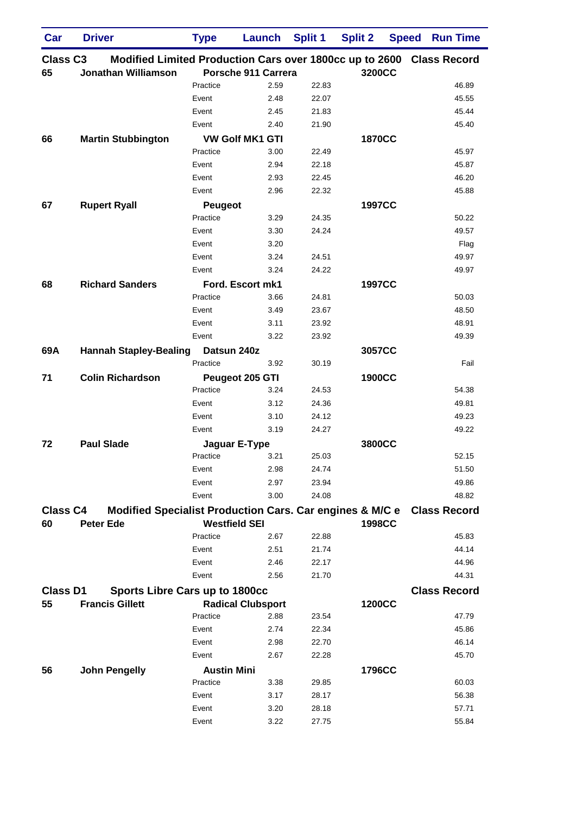| Car             | <b>Driver</b>                                                         | <b>Type</b>          | <b>Launch</b>            | <b>Split 1</b> | <b>Split 2</b> | <b>Speed</b> | <b>Run Time</b>     |
|-----------------|-----------------------------------------------------------------------|----------------------|--------------------------|----------------|----------------|--------------|---------------------|
| <b>Class C3</b> | Modified Limited Production Cars over 1800cc up to 2600 Class Record  |                      |                          |                |                |              |                     |
| 65              | <b>Jonathan Williamson</b>                                            |                      | Porsche 911 Carrera      |                | 3200CC         |              |                     |
|                 |                                                                       | Practice             | 2.59                     | 22.83          |                |              | 46.89               |
|                 |                                                                       | Event                | 2.48                     | 22.07          |                |              | 45.55               |
|                 |                                                                       | Event                | 2.45                     | 21.83          |                |              | 45.44               |
|                 |                                                                       | Event                | 2.40                     | 21.90          |                |              | 45.40               |
| 66              | <b>Martin Stubbington</b>                                             |                      | <b>VW Golf MK1 GTI</b>   |                | <b>1870CC</b>  |              |                     |
|                 |                                                                       | Practice             | 3.00                     | 22.49          |                |              | 45.97               |
|                 |                                                                       | Event                | 2.94                     | 22.18          |                |              | 45.87               |
|                 |                                                                       | Event                | 2.93                     | 22.45          |                |              | 46.20               |
|                 |                                                                       | Event                | 2.96                     | 22.32          |                |              | 45.88               |
| 67              | <b>Rupert Ryall</b>                                                   | <b>Peugeot</b>       |                          |                | <b>1997CC</b>  |              |                     |
|                 |                                                                       | Practice             | 3.29                     | 24.35          |                |              | 50.22               |
|                 |                                                                       | Event                | 3.30                     | 24.24          |                |              | 49.57               |
|                 |                                                                       | Event                | 3.20                     |                |                |              | Flag                |
|                 |                                                                       | Event                | 3.24                     | 24.51          |                |              | 49.97               |
|                 |                                                                       | Event                | 3.24                     | 24.22          |                |              | 49.97               |
| 68              | <b>Richard Sanders</b>                                                |                      | Ford. Escort mk1         |                | <b>1997CC</b>  |              |                     |
|                 |                                                                       | Practice             | 3.66                     | 24.81          |                |              | 50.03               |
|                 |                                                                       | Event                | 3.49                     | 23.67          |                |              | 48.50               |
|                 |                                                                       | Event                | 3.11                     | 23.92          |                |              | 48.91               |
|                 |                                                                       | Event                | 3.22                     | 23.92          |                |              | 49.39               |
| 69A             | <b>Hannah Stapley-Bealing</b>                                         | Datsun 240z          |                          |                | 3057CC         |              |                     |
|                 |                                                                       | Practice             | 3.92                     | 30.19          |                |              | Fail                |
| 71              | <b>Colin Richardson</b>                                               |                      | Peugeot 205 GTI          |                | <b>1900CC</b>  |              |                     |
|                 |                                                                       | Practice             | 3.24                     | 24.53          |                |              | 54.38               |
|                 |                                                                       | Event                | 3.12                     | 24.36          |                |              | 49.81               |
|                 |                                                                       | Event                | 3.10                     | 24.12          |                |              | 49.23               |
|                 |                                                                       | Event                | 3.19                     | 24.27          |                |              | 49.22               |
| 72              | <b>Paul Slade</b>                                                     | Jaguar E-Type        |                          |                | 3800CC         |              |                     |
|                 |                                                                       | Practice             | 3.21                     | 25.03          |                |              | 52.15               |
|                 |                                                                       | Event                | 2.98                     | 24.74          |                |              | 51.50               |
|                 |                                                                       | Event                | 2.97                     | 23.94          |                |              | 49.86               |
|                 |                                                                       | Event                | 3.00                     | 24.08          |                |              | 48.82               |
| <b>Class C4</b> | Modified Specialist Production Cars. Car engines & M/C e Class Record |                      |                          |                |                |              |                     |
| 60              | <b>Peter Ede</b>                                                      | <b>Westfield SEI</b> |                          |                | <b>1998CC</b>  |              |                     |
|                 |                                                                       | Practice             | 2.67                     | 22.88          |                |              | 45.83<br>44.14      |
|                 |                                                                       | Event                | 2.51                     | 21.74          |                |              |                     |
|                 |                                                                       | Event                | 2.46                     | 22.17          |                |              | 44.96               |
|                 |                                                                       | Event                | 2.56                     | 21.70          |                |              | 44.31               |
| <b>Class D1</b> | <b>Sports Libre Cars up to 1800cc</b>                                 |                      |                          |                |                |              | <b>Class Record</b> |
| 55              | <b>Francis Gillett</b>                                                |                      | <b>Radical Clubsport</b> |                | <b>1200CC</b>  |              |                     |
|                 |                                                                       | Practice             | 2.88                     | 23.54          |                |              | 47.79               |
|                 |                                                                       | Event                | 2.74                     | 22.34          |                |              | 45.86               |
|                 |                                                                       | Event                | 2.98                     | 22.70          |                |              | 46.14               |
|                 |                                                                       | Event                | 2.67                     | 22.28          |                |              | 45.70               |
| 56              | <b>John Pengelly</b>                                                  | <b>Austin Mini</b>   |                          |                | 1796CC         |              |                     |
|                 |                                                                       | Practice             | 3.38                     | 29.85          |                |              | 60.03               |
|                 |                                                                       | Event                | 3.17                     | 28.17          |                |              | 56.38               |
|                 |                                                                       | Event                | 3.20                     | 28.18          |                |              | 57.71               |
|                 |                                                                       | Event                | 3.22                     | 27.75          |                |              | 55.84               |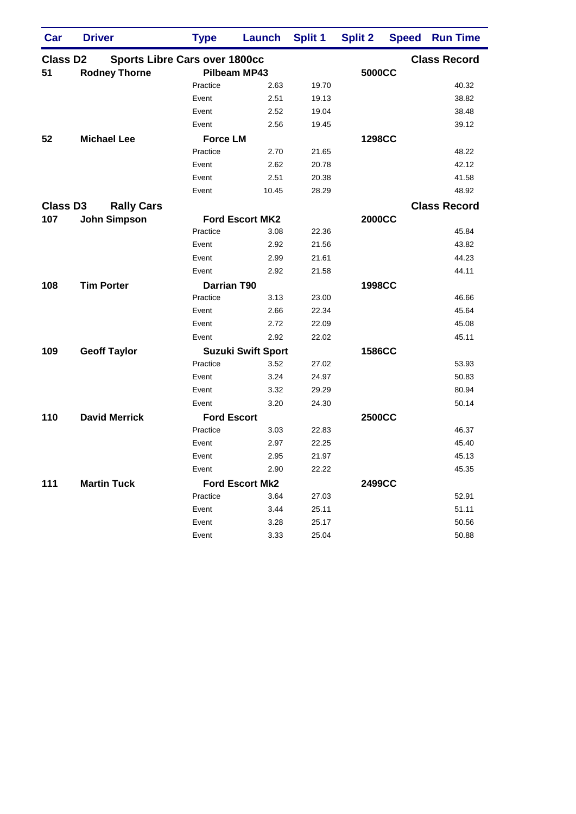| Car             | <b>Driver</b>        | <b>Type</b>                          | Launch                    | <b>Split 1</b> | <b>Split 2</b> | <b>Speed</b> | <b>Run Time</b>     |
|-----------------|----------------------|--------------------------------------|---------------------------|----------------|----------------|--------------|---------------------|
| <b>Class D2</b> |                      | <b>Sports Libre Cars over 1800cc</b> |                           |                |                |              | <b>Class Record</b> |
| 51              | <b>Rodney Thorne</b> |                                      | Pilbeam MP43              |                | 5000CC         |              |                     |
|                 |                      | Practice                             | 2.63                      | 19.70          |                |              | 40.32               |
|                 |                      | Event                                | 2.51                      | 19.13          |                |              | 38.82               |
|                 |                      | Event                                | 2.52                      | 19.04          |                |              | 38.48               |
|                 |                      | Event                                | 2.56                      | 19.45          |                |              | 39.12               |
| 52              | <b>Michael Lee</b>   | <b>Force LM</b>                      |                           |                | <b>1298CC</b>  |              |                     |
|                 |                      | Practice                             | 2.70                      | 21.65          |                |              | 48.22               |
|                 |                      | Event                                | 2.62                      | 20.78          |                |              | 42.12               |
|                 |                      | Event                                | 2.51                      | 20.38          |                |              | 41.58               |
|                 |                      | Event                                | 10.45                     | 28.29          |                |              | 48.92               |
| <b>Class D3</b> | <b>Rally Cars</b>    |                                      |                           |                |                |              | <b>Class Record</b> |
| 107             | <b>John Simpson</b>  |                                      | <b>Ford Escort MK2</b>    |                | <b>2000CC</b>  |              |                     |
|                 |                      | Practice                             | 3.08                      | 22.36          |                |              | 45.84               |
|                 |                      | Event                                | 2.92                      | 21.56          |                |              | 43.82               |
|                 |                      | Event                                | 2.99                      | 21.61          |                |              | 44.23               |
|                 |                      | Event                                | 2.92                      | 21.58          |                |              | 44.11               |
| 108             | <b>Tim Porter</b>    | <b>Darrian T90</b>                   |                           |                | <b>1998CC</b>  |              |                     |
|                 |                      | Practice                             | 3.13                      | 23.00          |                |              | 46.66               |
|                 |                      | Event                                | 2.66                      | 22.34          |                |              | 45.64               |
|                 |                      | Event                                | 2.72                      | 22.09          |                |              | 45.08               |
|                 |                      | Event                                | 2.92                      | 22.02          |                |              | 45.11               |
| 109             | <b>Geoff Taylor</b>  |                                      | <b>Suzuki Swift Sport</b> |                | <b>1586CC</b>  |              |                     |
|                 |                      | Practice                             | 3.52                      | 27.02          |                |              | 53.93               |
|                 |                      | Event                                | 3.24                      | 24.97          |                |              | 50.83               |
|                 |                      | Event                                | 3.32                      | 29.29          |                |              | 80.94               |
|                 |                      | Event                                | 3.20                      | 24.30          |                |              | 50.14               |
| 110             | <b>David Merrick</b> | <b>Ford Escort</b>                   |                           |                | <b>2500CC</b>  |              |                     |
|                 |                      | Practice                             | 3.03                      | 22.83          |                |              | 46.37               |
|                 |                      | Event                                | 2.97                      | 22.25          |                |              | 45.40               |
|                 |                      | Event                                | 2.95                      | 21.97          |                |              | 45.13               |
|                 |                      | Event                                | 2.90                      | 22.22          |                |              | 45.35               |
| 111             | <b>Martin Tuck</b>   |                                      | <b>Ford Escort Mk2</b>    |                | 2499CC         |              |                     |
|                 |                      | Practice                             | 3.64                      | 27.03          |                |              | 52.91               |
|                 |                      | Event                                | 3.44                      | 25.11          |                |              | 51.11               |
|                 |                      | Event                                | 3.28                      | 25.17          |                |              | 50.56               |
|                 |                      | Event                                | 3.33                      | 25.04          |                |              | 50.88               |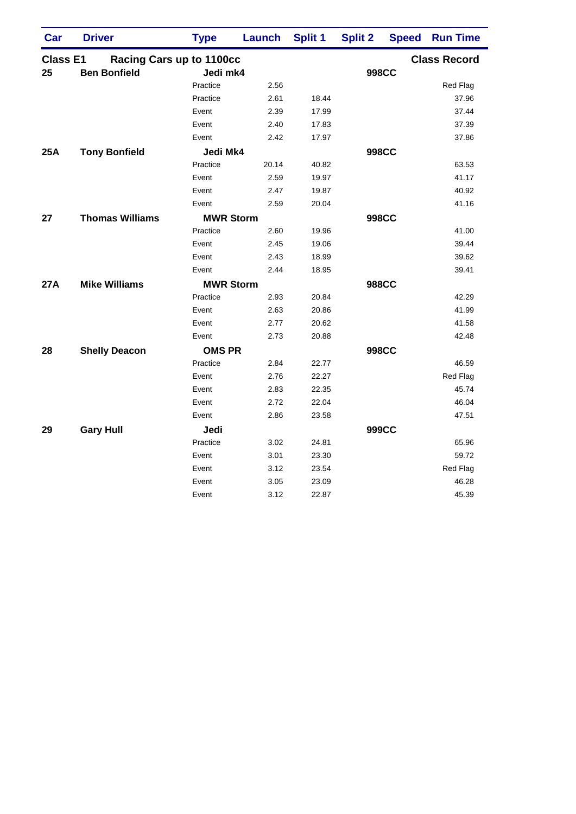| Car             | <b>Driver</b>            | <b>Type</b>      | Launch | <b>Split 1</b>      | <b>Split 2</b> |              | <b>Speed Run Time</b> |
|-----------------|--------------------------|------------------|--------|---------------------|----------------|--------------|-----------------------|
| <b>Class E1</b> | Racing Cars up to 1100cc |                  |        | <b>Class Record</b> |                |              |                       |
| 25              | <b>Ben Bonfield</b>      | Jedi mk4         |        |                     |                | <b>998CC</b> |                       |
|                 |                          | Practice         | 2.56   |                     |                |              | Red Flag              |
|                 |                          | Practice         | 2.61   | 18.44               |                |              | 37.96                 |
|                 |                          | Event            | 2.39   | 17.99               |                |              | 37.44                 |
|                 |                          | Event            | 2.40   | 17.83               |                |              | 37.39                 |
|                 |                          | Event            | 2.42   | 17.97               |                |              | 37.86                 |
| 25A             | <b>Tony Bonfield</b>     | Jedi Mk4         |        |                     |                | <b>998CC</b> |                       |
|                 |                          | Practice         | 20.14  | 40.82               |                |              | 63.53                 |
|                 |                          | Event            | 2.59   | 19.97               |                |              | 41.17                 |
|                 |                          | Event            | 2.47   | 19.87               |                |              | 40.92                 |
|                 |                          | Event            | 2.59   | 20.04               |                |              | 41.16                 |
| 27              | <b>Thomas Williams</b>   | <b>MWR Storm</b> |        |                     |                | <b>998CC</b> |                       |
|                 |                          | Practice         | 2.60   | 19.96               |                |              | 41.00                 |
|                 |                          | Event            | 2.45   | 19.06               |                |              | 39.44                 |
|                 |                          | Event            | 2.43   | 18.99               |                |              | 39.62                 |
|                 |                          | Event            | 2.44   | 18.95               |                |              | 39.41                 |
| <b>27A</b>      | <b>Mike Williams</b>     | <b>MWR Storm</b> |        |                     |                | <b>988CC</b> |                       |
|                 |                          | Practice         | 2.93   | 20.84               |                |              | 42.29                 |
|                 |                          | Event            | 2.63   | 20.86               |                |              | 41.99                 |
|                 |                          | Event            | 2.77   | 20.62               |                |              | 41.58                 |
|                 |                          | Event            | 2.73   | 20.88               |                |              | 42.48                 |
| 28              | <b>Shelly Deacon</b>     | <b>OMS PR</b>    |        |                     |                | <b>998CC</b> |                       |
|                 |                          | Practice         | 2.84   | 22.77               |                |              | 46.59                 |
|                 |                          | Event            | 2.76   | 22.27               |                |              | Red Flag              |
|                 |                          | Event            | 2.83   | 22.35               |                |              | 45.74                 |
|                 |                          | Event            | 2.72   | 22.04               |                |              | 46.04                 |
|                 |                          | Event            | 2.86   | 23.58               |                |              | 47.51                 |
| 29              | <b>Gary Hull</b>         | Jedi             |        |                     |                | 999CC        |                       |
|                 |                          | Practice         | 3.02   | 24.81               |                |              | 65.96                 |
|                 |                          | Event            | 3.01   | 23.30               |                |              | 59.72                 |
|                 |                          | Event            | 3.12   | 23.54               |                |              | Red Flag              |
|                 |                          | Event            | 3.05   | 23.09               |                |              | 46.28                 |
|                 |                          | Event            | 3.12   | 22.87               |                |              | 45.39                 |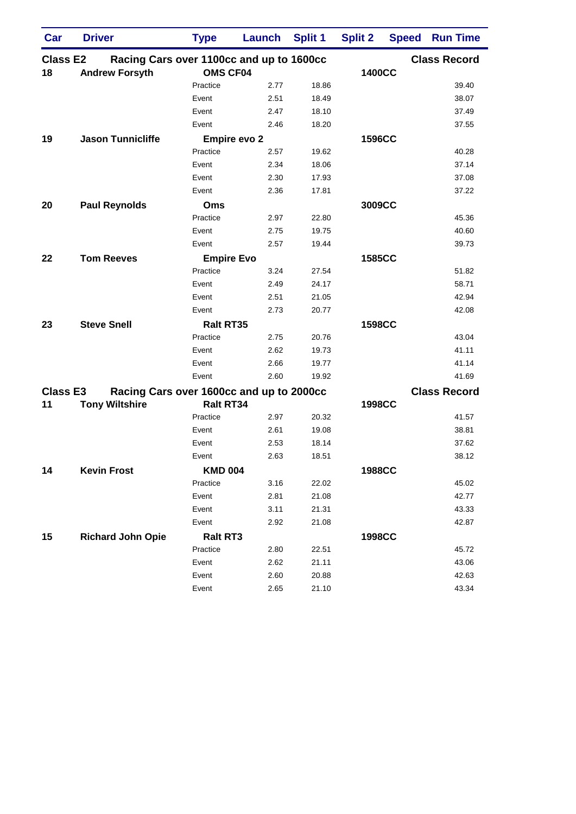| Car             | <b>Driver</b>                            | <b>Type</b>         | Launch | <b>Split 1</b> | <b>Split 2</b> | <b>Speed</b> | <b>Run Time</b>     |
|-----------------|------------------------------------------|---------------------|--------|----------------|----------------|--------------|---------------------|
| <b>Class E2</b> | Racing Cars over 1100cc and up to 1600cc |                     |        |                |                |              | <b>Class Record</b> |
| 18              | <b>Andrew Forsyth</b>                    | <b>OMS CF04</b>     |        |                | 1400CC         |              |                     |
|                 |                                          | Practice            | 2.77   | 18.86          |                |              | 39.40               |
|                 |                                          | Event               | 2.51   | 18.49          |                |              | 38.07               |
|                 |                                          | Event               | 2.47   | 18.10          |                |              | 37.49               |
|                 |                                          | Event               | 2.46   | 18.20          |                |              | 37.55               |
| 19              | <b>Jason Tunnicliffe</b>                 | <b>Empire evo 2</b> |        |                | 1596CC         |              |                     |
|                 |                                          | Practice            | 2.57   | 19.62          |                |              | 40.28               |
|                 |                                          | Event               | 2.34   | 18.06          |                |              | 37.14               |
|                 |                                          | Event               | 2.30   | 17.93          |                |              | 37.08               |
|                 |                                          | Event               | 2.36   | 17.81          |                |              | 37.22               |
| 20              | <b>Paul Reynolds</b>                     | Oms                 |        |                | 3009CC         |              |                     |
|                 |                                          | Practice            | 2.97   | 22.80          |                |              | 45.36               |
|                 |                                          | Event               | 2.75   | 19.75          |                |              | 40.60               |
|                 |                                          | Event               | 2.57   | 19.44          |                |              | 39.73               |
| 22              | <b>Tom Reeves</b>                        | <b>Empire Evo</b>   |        |                | 1585CC         |              |                     |
|                 |                                          | Practice            | 3.24   | 27.54          |                |              | 51.82               |
|                 |                                          | Event               | 2.49   | 24.17          |                |              | 58.71               |
|                 |                                          | Event               | 2.51   | 21.05          |                |              | 42.94               |
|                 |                                          | Event               | 2.73   | 20.77          |                |              | 42.08               |
| 23              | <b>Steve Snell</b>                       | <b>Ralt RT35</b>    |        |                | <b>1598CC</b>  |              |                     |
|                 |                                          | Practice            | 2.75   | 20.76          |                |              | 43.04               |
|                 |                                          | Event               | 2.62   | 19.73          |                |              | 41.11               |
|                 |                                          | Event               | 2.66   | 19.77          |                |              | 41.14               |
|                 |                                          | Event               | 2.60   | 19.92          |                |              | 41.69               |
| <b>Class E3</b> | Racing Cars over 1600cc and up to 2000cc |                     |        |                |                |              | <b>Class Record</b> |
| 11              | <b>Tony Wiltshire</b>                    | <b>Ralt RT34</b>    |        |                | 1998CC         |              |                     |
|                 |                                          | Practice            | 2.97   | 20.32          |                |              | 41.57               |
|                 |                                          | Event               | 2.61   | 19.08          |                |              | 38.81               |
|                 |                                          | Event               | 2.53   | 18.14          |                |              | 37.62               |
|                 |                                          | Event               | 2.63   | 18.51          |                |              | 38.12               |
| 14              | <b>Kevin Frost</b>                       | <b>KMD 004</b>      |        |                | <b>1988CC</b>  |              |                     |
|                 |                                          | Practice            | 3.16   | 22.02          |                |              | 45.02               |
|                 |                                          | Event               | 2.81   | 21.08          |                |              | 42.77               |
|                 |                                          | Event               | 3.11   | 21.31          |                |              | 43.33               |
|                 |                                          | Event               | 2.92   | 21.08          |                |              | 42.87               |
| 15              | <b>Richard John Opie</b>                 | <b>Ralt RT3</b>     |        |                | 1998CC         |              |                     |
|                 |                                          | Practice            | 2.80   | 22.51          |                |              | 45.72               |
|                 |                                          | Event               | 2.62   | 21.11          |                |              | 43.06               |
|                 |                                          | Event               | 2.60   | 20.88          |                |              | 42.63               |
|                 |                                          | Event               | 2.65   | 21.10          |                |              | 43.34               |
|                 |                                          |                     |        |                |                |              |                     |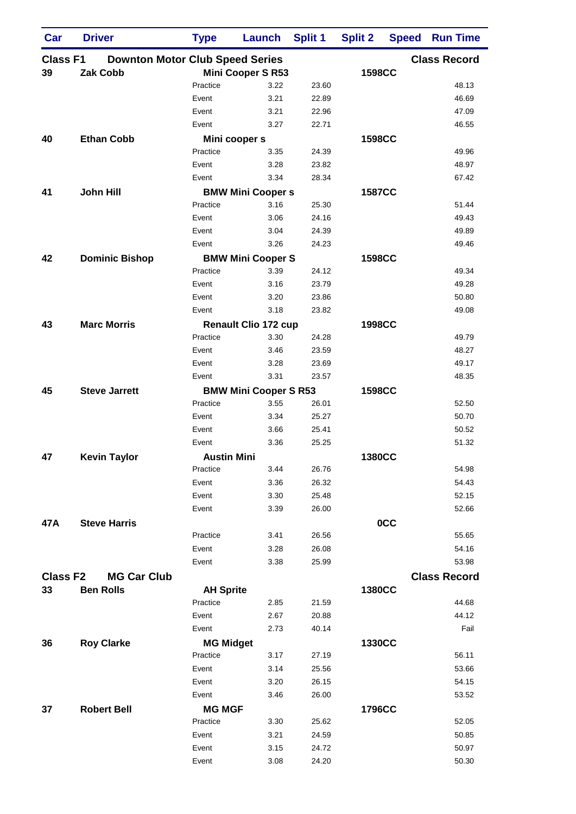| Car             | <b>Driver</b>                          | <b>Type</b>        | Launch                       | <b>Split 1</b> | <b>Split 2</b> |            | <b>Speed Run Time</b> |
|-----------------|----------------------------------------|--------------------|------------------------------|----------------|----------------|------------|-----------------------|
| <b>Class F1</b> | <b>Downton Motor Club Speed Series</b> |                    | <b>Mini Cooper S R53</b>     |                |                |            | <b>Class Record</b>   |
| 39              | <b>Zak Cobb</b>                        |                    | 1598CC                       |                |                |            |                       |
|                 |                                        | Practice           | 3.22                         | 23.60          |                |            | 48.13                 |
|                 |                                        | Event              | 3.21                         | 22.89          |                |            | 46.69                 |
|                 |                                        | Event              | 3.21                         | 22.96          |                |            | 47.09                 |
|                 |                                        | Event              | 3.27                         | 22.71          |                |            | 46.55                 |
| 40              | <b>Ethan Cobb</b>                      |                    | Mini cooper s                |                | <b>1598CC</b>  |            |                       |
|                 |                                        | Practice           | 3.35                         | 24.39          |                |            | 49.96                 |
|                 |                                        | Event              | 3.28                         | 23.82          |                |            | 48.97                 |
|                 |                                        | Event              | 3.34                         | 28.34          |                |            | 67.42                 |
| 41              | <b>John Hill</b>                       |                    | <b>BMW Mini Coopers</b>      |                | <b>1587CC</b>  |            |                       |
|                 |                                        | Practice           | 3.16                         | 25.30          |                |            | 51.44                 |
|                 |                                        | Event              | 3.06                         | 24.16          |                |            | 49.43                 |
|                 |                                        | Event              | 3.04                         | 24.39          |                |            | 49.89                 |
|                 |                                        | Event              | 3.26                         | 24.23          |                |            | 49.46                 |
| 42              | <b>Dominic Bishop</b>                  |                    | <b>BMW Mini Cooper S</b>     |                | <b>1598CC</b>  |            |                       |
|                 |                                        | Practice           | 3.39                         | 24.12          |                |            | 49.34                 |
|                 |                                        | Event              | 3.16                         | 23.79          |                |            | 49.28                 |
|                 |                                        | Event              | 3.20                         | 23.86          |                |            | 50.80                 |
|                 |                                        | Event              | 3.18                         | 23.82          |                |            | 49.08                 |
| 43              | <b>Marc Morris</b>                     |                    | <b>Renault Clio 172 cup</b>  |                | <b>1998CC</b>  |            |                       |
|                 |                                        | Practice           | 3.30                         | 24.28          |                |            | 49.79                 |
|                 |                                        | Event              | 3.46                         | 23.59          |                |            | 48.27                 |
|                 |                                        | Event              | 3.28                         | 23.69          |                |            | 49.17                 |
|                 |                                        | Event              | 3.31                         | 23.57          |                |            | 48.35                 |
| 45              | <b>Steve Jarrett</b>                   |                    | <b>BMW Mini Cooper S R53</b> |                | 1598CC         |            |                       |
|                 |                                        | Practice           | 3.55                         | 26.01          |                |            | 52.50                 |
|                 |                                        | Event              | 3.34                         | 25.27          |                |            | 50.70                 |
|                 |                                        | Event              | 3.66                         | 25.41          |                |            | 50.52                 |
|                 |                                        | Event              | 3.36                         | 25.25          |                |            | 51.32                 |
| 47              | <b>Kevin Taylor</b>                    | <b>Austin Mini</b> |                              |                | 1380CC         |            |                       |
|                 |                                        | Practice           | 3.44                         | 26.76          |                |            | 54.98                 |
|                 |                                        | Event              | 3.36                         | 26.32          |                |            | 54.43                 |
|                 |                                        | Event              | 3.30                         | 25.48          |                |            | 52.15                 |
|                 |                                        | Event              | 3.39                         | 26.00          |                |            | 52.66                 |
|                 |                                        |                    |                              |                |                |            |                       |
| 47A             | <b>Steve Harris</b>                    | Practice           |                              |                |                | <b>OCC</b> |                       |
|                 |                                        |                    | 3.41                         | 26.56          |                |            | 55.65                 |
|                 |                                        | Event<br>Event     | 3.28                         | 26.08<br>25.99 |                |            | 54.16<br>53.98        |
|                 |                                        |                    | 3.38                         |                |                |            |                       |
| <b>Class F2</b> | <b>MG Car Club</b>                     |                    |                              |                |                |            | <b>Class Record</b>   |
| 33              | <b>Ben Rolls</b>                       | <b>AH Sprite</b>   |                              |                | 1380CC         |            |                       |
|                 |                                        | Practice           | 2.85                         | 21.59          |                |            | 44.68                 |
|                 |                                        | Event              | 2.67                         | 20.88          |                |            | 44.12                 |
|                 |                                        | Event              | 2.73                         | 40.14          |                |            | Fail                  |
| 36              | <b>Roy Clarke</b>                      | <b>MG Midget</b>   |                              |                | 1330CC         |            |                       |
|                 |                                        | Practice           | 3.17                         | 27.19          |                |            | 56.11                 |
|                 |                                        | Event              | 3.14                         | 25.56          |                |            | 53.66                 |
|                 |                                        | Event              | 3.20                         | 26.15          |                |            | 54.15                 |
|                 |                                        | Event              | 3.46                         | 26.00          |                |            | 53.52                 |
| 37              | <b>Robert Bell</b>                     | <b>MG MGF</b>      |                              |                | 1796CC         |            |                       |
|                 |                                        | Practice           | 3.30                         | 25.62          |                |            | 52.05                 |
|                 |                                        | Event              | 3.21                         | 24.59          |                |            | 50.85                 |
|                 |                                        | Event              | 3.15                         | 24.72          |                |            | 50.97                 |
|                 |                                        | Event              | 3.08                         | 24.20          |                |            | 50.30                 |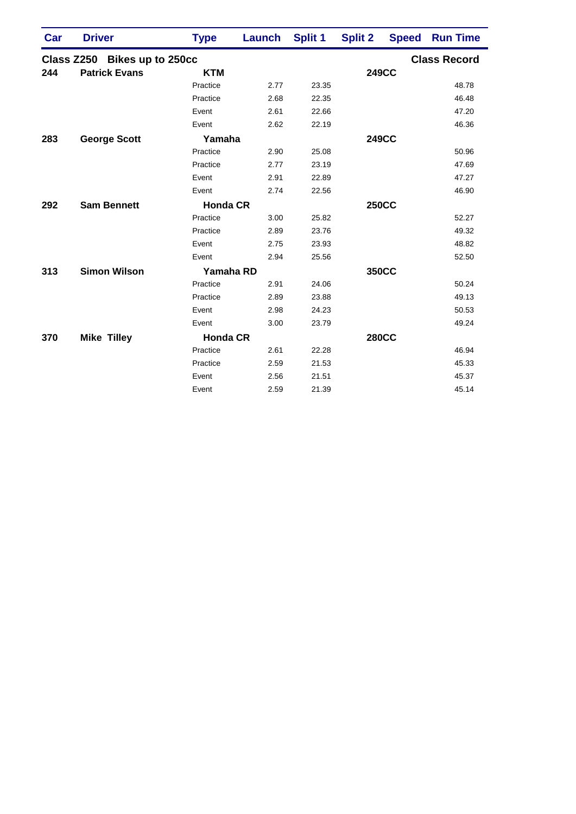| Car | <b>Driver</b>                | <b>Type</b>     | Launch | <b>Split 1</b> | <b>Split 2</b> |              | <b>Speed Run Time</b> |
|-----|------------------------------|-----------------|--------|----------------|----------------|--------------|-----------------------|
|     | Class Z250 Bikes up to 250cc |                 |        |                |                |              | <b>Class Record</b>   |
| 244 | <b>Patrick Evans</b>         | <b>KTM</b>      |        |                |                | <b>249CC</b> |                       |
|     |                              | Practice        | 2.77   | 23.35          |                |              | 48.78                 |
|     |                              | Practice        | 2.68   | 22.35          |                |              | 46.48                 |
|     |                              | Event           | 2.61   | 22.66          |                |              | 47.20                 |
|     |                              | Event           | 2.62   | 22.19          |                |              | 46.36                 |
| 283 | <b>George Scott</b>          | Yamaha          |        |                |                | <b>249CC</b> |                       |
|     |                              | Practice        | 2.90   | 25.08          |                |              | 50.96                 |
|     |                              | Practice        | 2.77   | 23.19          |                |              | 47.69                 |
|     |                              | Event           | 2.91   | 22.89          |                |              | 47.27                 |
|     |                              | Event           | 2.74   | 22.56          |                |              | 46.90                 |
| 292 | <b>Sam Bennett</b>           | <b>Honda CR</b> |        |                |                | <b>250CC</b> |                       |
|     |                              | Practice        | 3.00   | 25.82          |                |              | 52.27                 |
|     |                              | Practice        | 2.89   | 23.76          |                |              | 49.32                 |
|     |                              | Event           | 2.75   | 23.93          |                |              | 48.82                 |
|     |                              | Event           | 2.94   | 25.56          |                |              | 52.50                 |
| 313 | <b>Simon Wilson</b>          | Yamaha RD       |        |                |                | 350CC        |                       |
|     |                              | Practice        | 2.91   | 24.06          |                |              | 50.24                 |
|     |                              | Practice        | 2.89   | 23.88          |                |              | 49.13                 |
|     |                              | Event           | 2.98   | 24.23          |                |              | 50.53                 |
|     |                              | Event           | 3.00   | 23.79          |                |              | 49.24                 |
| 370 | <b>Mike Tilley</b>           | <b>Honda CR</b> |        |                |                | <b>280CC</b> |                       |
|     |                              | Practice        | 2.61   | 22.28          |                |              | 46.94                 |
|     |                              | Practice        | 2.59   | 21.53          |                |              | 45.33                 |
|     |                              | Event           | 2.56   | 21.51          |                |              | 45.37                 |
|     |                              | Event           | 2.59   | 21.39          |                |              | 45.14                 |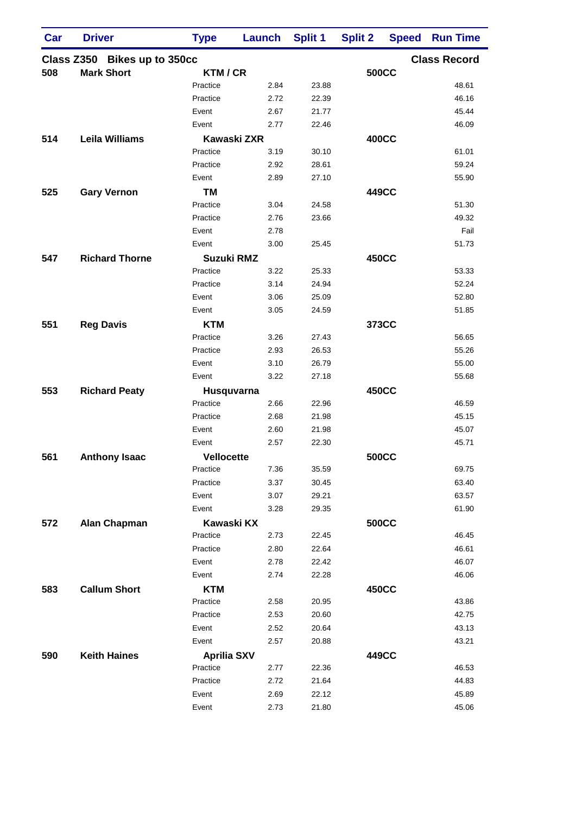| Car | <b>Driver</b>                | <b>Type</b>        | Launch      | <b>Split 1</b> | <b>Split 2</b> | <b>Speed</b> | <b>Run Time</b>     |
|-----|------------------------------|--------------------|-------------|----------------|----------------|--------------|---------------------|
|     | Class Z350 Bikes up to 350cc |                    |             |                |                |              | <b>Class Record</b> |
| 508 | <b>Mark Short</b>            | KTM / CR           |             |                |                | <b>500CC</b> |                     |
|     |                              | Practice           | 2.84        | 23.88          |                |              | 48.61               |
|     |                              | Practice           | 2.72        | 22.39          |                |              | 46.16               |
|     |                              | Event              | 2.67        | 21.77          |                |              | 45.44               |
|     |                              | Event              | 2.77        | 22.46          |                |              | 46.09               |
| 514 | <b>Leila Williams</b>        |                    | Kawaski ZXR |                |                | <b>400CC</b> |                     |
|     |                              | Practice           | 3.19        | 30.10          |                |              | 61.01               |
|     |                              | Practice           | 2.92        | 28.61          |                |              | 59.24               |
|     |                              | Event              | 2.89        | 27.10          |                |              | 55.90               |
| 525 | <b>Gary Vernon</b>           | <b>TM</b>          |             |                |                | 449CC        |                     |
|     |                              | Practice           | 3.04        | 24.58          |                |              | 51.30               |
|     |                              | Practice           | 2.76        | 23.66          |                |              | 49.32               |
|     |                              | Event              | 2.78        |                |                |              | Fail                |
|     |                              | Event              | 3.00        | 25.45          |                |              | 51.73               |
| 547 | <b>Richard Thorne</b>        | <b>Suzuki RMZ</b>  |             |                |                | <b>450CC</b> |                     |
|     |                              | Practice           | 3.22        | 25.33          |                |              | 53.33               |
|     |                              | Practice           | 3.14        | 24.94          |                |              | 52.24               |
|     |                              | Event              | 3.06        | 25.09          |                |              | 52.80               |
|     |                              | Event              | 3.05        | 24.59          |                |              | 51.85               |
| 551 | <b>Reg Davis</b>             | <b>KTM</b>         |             |                |                | 373CC        |                     |
|     |                              | Practice           | 3.26        | 27.43          |                |              | 56.65               |
|     |                              | Practice           | 2.93        | 26.53          |                |              | 55.26               |
|     |                              | Event              | 3.10        | 26.79          |                |              | 55.00               |
|     |                              | Event              | 3.22        | 27.18          |                |              | 55.68               |
| 553 | <b>Richard Peaty</b>         | Husquvarna         |             |                |                | <b>450CC</b> |                     |
|     |                              | Practice           | 2.66        | 22.96          |                |              | 46.59               |
|     |                              | Practice           | 2.68        | 21.98          |                |              | 45.15               |
|     |                              | Event              | 2.60        | 21.98          |                |              | 45.07               |
|     |                              | Event              | 2.57        | 22.30          |                |              | 45.71               |
| 561 | <b>Anthony Isaac</b>         | Vellocette         |             |                |                | <b>500CC</b> |                     |
|     |                              | Practice           | 7.36        | 35.59          |                |              | 69.75               |
|     |                              | Practice           | 3.37        | 30.45          |                |              | 63.40               |
|     |                              | Event              | 3.07        | 29.21          |                |              | 63.57               |
|     |                              | Event              | 3.28        | 29.35          |                |              | 61.90               |
| 572 | <b>Alan Chapman</b>          | Kawaski KX         |             |                |                | <b>500CC</b> |                     |
|     |                              | Practice           | 2.73        | 22.45          |                |              | 46.45               |
|     |                              | Practice           | 2.80        | 22.64          |                |              | 46.61               |
|     |                              | Event              | 2.78        | 22.42          |                |              | 46.07               |
|     |                              | Event              | 2.74        | 22.28          |                |              | 46.06               |
| 583 | <b>Callum Short</b>          | <b>KTM</b>         |             |                |                | <b>450CC</b> |                     |
|     |                              | Practice           | 2.58        | 20.95          |                |              | 43.86               |
|     |                              | Practice           | 2.53        | 20.60          |                |              | 42.75               |
|     |                              | Event              | 2.52        | 20.64          |                |              | 43.13               |
|     |                              | Event              | 2.57        | 20.88          |                |              | 43.21               |
| 590 | <b>Keith Haines</b>          | <b>Aprilia SXV</b> |             |                |                | 449CC        |                     |
|     |                              | Practice           | 2.77        | 22.36          |                |              | 46.53               |
|     |                              | Practice           | 2.72        | 21.64          |                |              | 44.83               |
|     |                              | Event              | 2.69        | 22.12          |                |              | 45.89               |
|     |                              | Event              | 2.73        | 21.80          |                |              | 45.06               |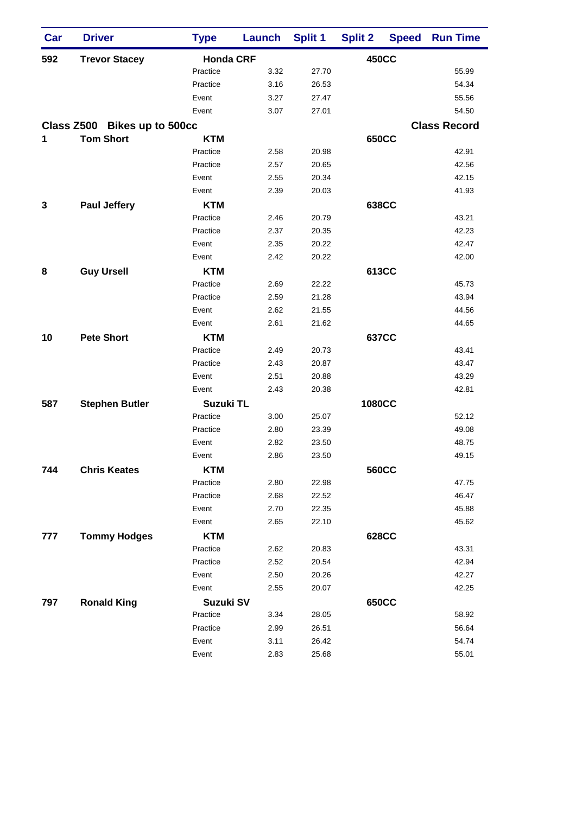| Car | <b>Driver</b>                | <b>Type</b>                  | Launch | <b>Split 1</b> | <b>Split 2</b> |              | <b>Speed Run Time</b> |
|-----|------------------------------|------------------------------|--------|----------------|----------------|--------------|-----------------------|
| 592 | <b>Trevor Stacey</b>         | <b>Honda CRF</b>             |        |                |                | <b>450CC</b> |                       |
|     |                              | Practice                     | 3.32   | 27.70          |                |              | 55.99                 |
|     |                              | Practice                     | 3.16   | 26.53          |                |              | 54.34                 |
|     |                              | Event                        | 3.27   | 27.47          |                |              | 55.56                 |
|     |                              | Event                        | 3.07   | 27.01          |                |              | 54.50                 |
|     | Class Z500 Bikes up to 500cc |                              |        |                |                |              | <b>Class Record</b>   |
| 1   | <b>Tom Short</b>             | <b>KTM</b>                   |        |                |                | 650CC        |                       |
|     |                              | Practice                     | 2.58   | 20.98          |                |              | 42.91                 |
|     |                              | Practice                     | 2.57   | 20.65          |                |              | 42.56                 |
|     |                              | Event                        | 2.55   | 20.34          |                |              | 42.15                 |
|     |                              | Event                        | 2.39   | 20.03          |                |              | 41.93                 |
| 3   | <b>Paul Jeffery</b>          | <b>KTM</b>                   |        |                |                | 638CC        |                       |
|     |                              | Practice                     | 2.46   | 20.79          |                |              | 43.21                 |
|     |                              | Practice                     | 2.37   | 20.35          |                |              | 42.23                 |
|     |                              | Event                        | 2.35   | 20.22          |                |              | 42.47                 |
|     |                              | Event                        | 2.42   | 20.22          |                |              | 42.00                 |
| 8   | <b>Guy Ursell</b>            | <b>KTM</b>                   |        |                |                | 613CC        |                       |
|     |                              | Practice                     | 2.69   | 22.22          |                |              | 45.73                 |
|     |                              | Practice                     | 2.59   | 21.28          |                |              | 43.94                 |
|     |                              | Event                        | 2.62   | 21.55          |                |              | 44.56                 |
|     |                              | Event                        | 2.61   | 21.62          |                |              | 44.65                 |
| 10  | <b>Pete Short</b>            | <b>KTM</b>                   |        |                |                | <b>637CC</b> |                       |
|     |                              | Practice                     | 2.49   | 20.73          |                |              | 43.41                 |
|     |                              | Practice                     | 2.43   | 20.87          |                |              | 43.47                 |
|     |                              | Event                        | 2.51   | 20.88          |                |              | 43.29                 |
|     |                              | Event                        | 2.43   | 20.38          |                |              | 42.81                 |
| 587 | <b>Stephen Butler</b>        | <b>Suzuki TL</b>             |        |                | 1080CC         |              |                       |
|     |                              | Practice                     | 3.00   | 25.07          |                |              | 52.12                 |
|     |                              | Practice                     | 2.80   | 23.39          |                |              | 49.08                 |
|     |                              | Event                        | 2.82   | 23.50          |                |              | 48.75                 |
|     |                              | Event                        | 2.86   | 23.50          |                |              | 49.15                 |
| 744 | <b>Chris Keates</b>          | <b>KTM</b>                   |        |                |                | 560CC        |                       |
|     |                              | Practice                     | 2.80   | 22.98          |                |              | 47.75                 |
|     |                              | Practice                     | 2.68   | 22.52          |                |              | 46.47                 |
|     |                              | Event                        | 2.70   | 22.35          |                |              | 45.88                 |
|     |                              | Event                        | 2.65   | 22.10          |                |              | 45.62                 |
| 777 | <b>Tommy Hodges</b>          | <b>KTM</b>                   |        |                |                | 628CC        |                       |
|     |                              | Practice                     | 2.62   | 20.83          |                |              | 43.31                 |
|     |                              | Practice                     | 2.52   | 20.54          |                |              | 42.94                 |
|     |                              | Event                        | 2.50   | 20.26          |                |              | 42.27                 |
|     |                              | Event                        | 2.55   | 20.07          |                |              | 42.25                 |
|     |                              |                              |        |                |                |              |                       |
| 797 | <b>Ronald King</b>           | <b>Suzuki SV</b><br>Practice | 3.34   | 28.05          |                | 650CC        | 58.92                 |
|     |                              | Practice                     | 2.99   | 26.51          |                |              | 56.64                 |
|     |                              | Event                        | 3.11   | 26.42          |                |              | 54.74                 |
|     |                              | Event                        | 2.83   | 25.68          |                |              | 55.01                 |
|     |                              |                              |        |                |                |              |                       |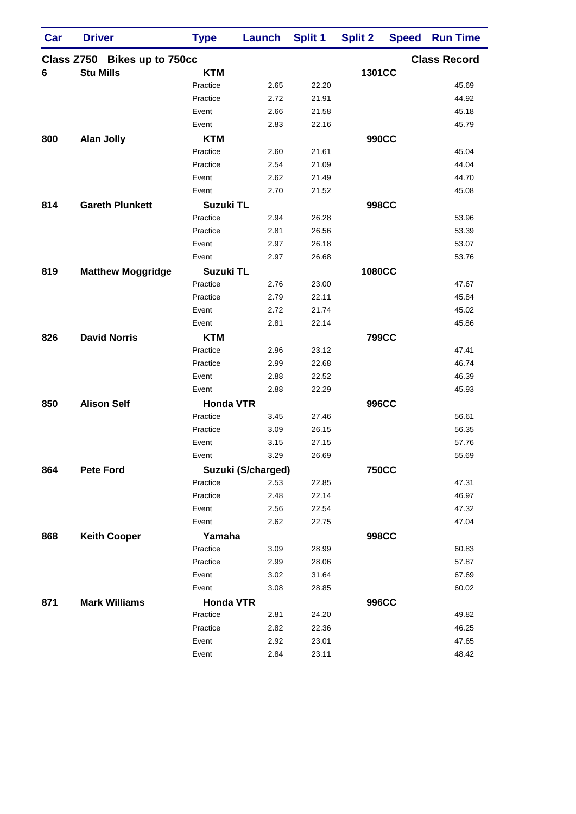| Car | <b>Driver</b>                | <b>Type</b>        | Launch             | <b>Split 1</b> | <b>Split 2</b> | <b>Speed</b> | <b>Run Time</b>     |
|-----|------------------------------|--------------------|--------------------|----------------|----------------|--------------|---------------------|
|     | Class Z750 Bikes up to 750cc |                    |                    |                |                |              | <b>Class Record</b> |
| 6   | <b>Stu Mills</b>             | <b>KTM</b>         |                    |                | 1301CC         |              |                     |
|     |                              | Practice           | 2.65               | 22.20          |                |              | 45.69               |
|     |                              | Practice           | 2.72               | 21.91          |                |              | 44.92               |
|     |                              | Event              | 2.66               | 21.58          |                |              | 45.18               |
|     |                              | Event              | 2.83               | 22.16          |                |              | 45.79               |
| 800 | <b>Alan Jolly</b>            | <b>KTM</b>         |                    |                |                | <b>990CC</b> |                     |
|     |                              | Practice           | 2.60               | 21.61          |                |              | 45.04               |
|     |                              | Practice           | 2.54               | 21.09          |                |              | 44.04               |
|     |                              | Event              | 2.62               | 21.49          |                |              | 44.70               |
|     |                              | Event              | 2.70               | 21.52          |                |              | 45.08               |
| 814 | <b>Gareth Plunkett</b>       | <b>Suzuki TL</b>   |                    |                |                | <b>998CC</b> |                     |
|     |                              | Practice           | 2.94               | 26.28          |                |              | 53.96               |
|     |                              | Practice           | 2.81               | 26.56          |                |              | 53.39               |
|     |                              | Event              | 2.97               | 26.18          |                |              | 53.07               |
|     |                              | Event              | 2.97               | 26.68          |                |              | 53.76               |
| 819 | <b>Matthew Moggridge</b>     | <b>Suzuki TL</b>   |                    |                | 1080CC         |              |                     |
|     |                              | Practice           | 2.76               | 23.00          |                |              | 47.67               |
|     |                              | Practice           | 2.79               | 22.11          |                |              | 45.84               |
|     |                              | Event              | 2.72               | 21.74          |                |              | 45.02               |
|     |                              | Event              | 2.81               | 22.14          |                |              | 45.86               |
| 826 | <b>David Norris</b>          | <b>KTM</b>         |                    |                |                | <b>799CC</b> |                     |
|     |                              | Practice           | 2.96               | 23.12          |                |              | 47.41               |
|     |                              | Practice           | 2.99               | 22.68          |                |              | 46.74               |
|     |                              | Event              | 2.88               | 22.52          |                |              | 46.39               |
|     |                              | Event              | 2.88               | 22.29          |                |              | 45.93               |
| 850 | <b>Alison Self</b>           | <b>Honda VTR</b>   |                    |                |                | 996CC        |                     |
|     |                              | Practice           | 3.45               | 27.46          |                |              | 56.61               |
|     |                              | Practice           | 3.09               | 26.15          |                |              | 56.35               |
|     |                              | Event              | 3.15               | 27.15          |                |              | 57.76               |
|     |                              | Event              | 3.29               | 26.69          |                |              | 55.69               |
| 864 | <b>Pete Ford</b>             |                    | Suzuki (S/charged) |                |                | <b>750CC</b> |                     |
|     |                              | Practice           | 2.53               | 22.85          |                |              | 47.31               |
|     |                              | Practice           | 2.48               | 22.14          |                |              | 46.97               |
|     |                              | Event              | 2.56               | 22.54          |                |              | 47.32               |
|     |                              | Event              | 2.62               | 22.75          |                |              | 47.04               |
|     |                              |                    |                    |                |                |              |                     |
| 868 | <b>Keith Cooper</b>          | Yamaha<br>Practice |                    |                |                | <b>998CC</b> |                     |
|     |                              | Practice           | 3.09<br>2.99       | 28.99          |                |              | 60.83               |
|     |                              |                    |                    | 28.06          |                |              | 57.87               |
|     |                              | Event              | 3.02               | 31.64          |                |              | 67.69               |
|     |                              | Event              | 3.08               | 28.85          |                |              | 60.02               |
| 871 | <b>Mark Williams</b>         | <b>Honda VTR</b>   |                    |                |                | 996CC        |                     |
|     |                              | Practice           | 2.81               | 24.20          |                |              | 49.82               |
|     |                              | Practice           | 2.82               | 22.36          |                |              | 46.25               |
|     |                              | Event              | 2.92               | 23.01          |                |              | 47.65               |
|     |                              | Event              | 2.84               | 23.11          |                |              | 48.42               |